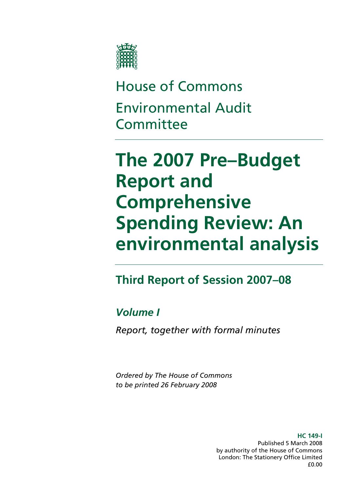

# House of Commons Environmental Audit **Committee**

# **The 2007 Pre–Budget Report and Comprehensive Spending Review: An environmental analysis**

## **Report of Session 2007–08 Third**

### *Volume I*

*Report, together with formal minutes* 

*Ordered by The House of Commons to be printed 26 February 2008* 

> **HC 149-I**  Published 5 March 2008 by authority of the House of Commons London: The Stationery Office Limited £0.00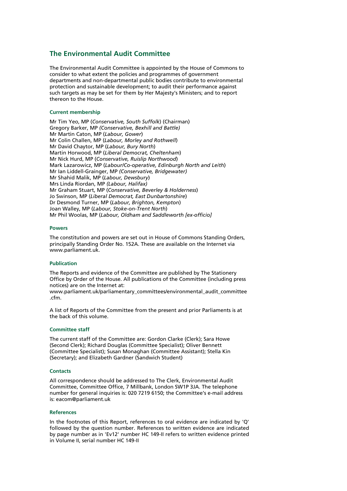#### **The Environmental Audit Committee**

The Environmental Audit Committee is appointed by the House of Commons to consider to what extent the policies and programmes of government departments and non-departmental public bodies contribute to environmental protection and sustainable development; to audit their performance against such targets as may be set for them by Her Majesty's Ministers; and to report thereon to the House.

#### **Current membership**

Mr Tim Yeo, MP (*Conservative, South Suffolk*) (Chairman) Gregory Barker, MP *(Conservative, Bexhill and Battle)*  Mr Martin Caton, MP (*Labour, Gower*) Mr Colin Challen, MP (*Labour, Morley and Rothwell*) Mr David Chaytor, MP (*Labour, Bury North*) Martin Horwood, MP (*Liberal Democrat, Cheltenham*) Mr Nick Hurd, MP (*Conservative, Ruislip Northwood*) Mark Lazarowicz, MP (*Labour/Co-operative, Edinburgh North and Leith*) Mr Ian Liddell-Grainger, MP *(Conservative, Bridgewater)*  Mr Shahid Malik, MP (*Labour, Dewsbury*) Mrs Linda Riordan, MP *(Labour, Halifax)* Mr Graham Stuart, MP (*Conservative, Beverley & Holderness*) Jo Swinson, MP (*Liberal Democrat, East Dunbartonshire*) Dr Desmond Turner, MP (*Labour, Brighton, Kempton*) Joan Walley, MP (*Labour, Stoke-on-Trent North*) Mr Phil Woolas, MP (*Labour, Oldham and Saddleworth [ex-officio]*

#### **Powers**

The constitution and powers are set out in House of Commons Standing Orders, principally Standing Order No. 152A. These are available on the Internet via www.parliament.uk.

#### **Publication**

The Reports and evidence of the Committee are published by The Stationery Office by Order of the House. All publications of the Committee (including press notices) are on the Internet at:

www.parliament.uk/parliamentary\_committees/environmental\_audit\_committee .cfm.

A list of Reports of the Committee from the present and prior Parliaments is at the back of this volume.

#### **Committee staff**

The current staff of the Committee are: Gordon Clarke (Clerk); Sara Howe (Second Clerk); Richard Douglas (Committee Specialist); Oliver Bennett (Committee Specialist); Susan Monaghan (Committee Assistant); Stella Kin (Secretary); and Elizabeth Gardner (Sandwich Student)

#### **Contacts**

All correspondence should be addressed to The Clerk, Environmental Audit Committee, Committee Office, 7 Millbank, London SW1P 3JA. The telephone number for general inquiries is: 020 7219 6150; the Committee's e-mail address is: eacom@parliament.uk

#### **References**

In the footnotes of this Report, references to oral evidence are indicated by 'Q' followed by the question number. References to written evidence are indicated by page number as in 'Ev12' number HC 149-II refers to written evidence printed in Volume II, serial number HC 149-II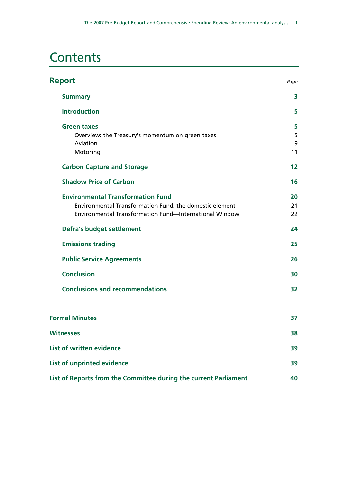## **Contents**

| <b>Report</b>                                                                                                                                                 | Page              |
|---------------------------------------------------------------------------------------------------------------------------------------------------------------|-------------------|
| <b>Summary</b>                                                                                                                                                | 3                 |
| <b>Introduction</b>                                                                                                                                           | 5                 |
| <b>Green taxes</b><br>Overview: the Treasury's momentum on green taxes<br>Aviation<br>Motoring                                                                | 5<br>5<br>9<br>11 |
| <b>Carbon Capture and Storage</b>                                                                                                                             | 12                |
| <b>Shadow Price of Carbon</b>                                                                                                                                 | 16                |
| <b>Environmental Transformation Fund</b><br>Environmental Transformation Fund: the domestic element<br>Environmental Transformation Fund-International Window | 20<br>21<br>22    |
| <b>Defra's budget settlement</b>                                                                                                                              | 24                |
| <b>Emissions trading</b>                                                                                                                                      | 25                |
| <b>Public Service Agreements</b>                                                                                                                              | 26                |
| <b>Conclusion</b>                                                                                                                                             | 30                |
| <b>Conclusions and recommendations</b>                                                                                                                        | 32                |
| <b>Formal Minutes</b>                                                                                                                                         | 37                |
| <b>Witnesses</b>                                                                                                                                              | 38                |
| <b>List of written evidence</b>                                                                                                                               | 39                |
| List of unprinted evidence                                                                                                                                    | 39                |
| List of Reports from the Committee during the current Parliament                                                                                              | 40                |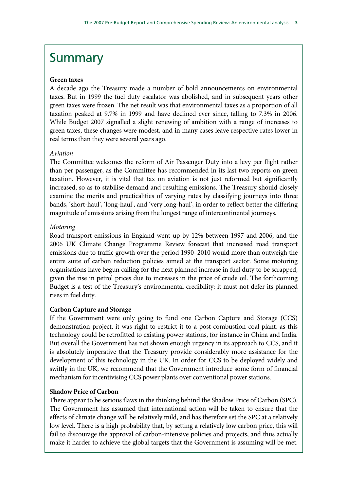## **Summary**

#### **Green taxes**

A decade ago the Treasury made a number of bold announcements on environmental taxes. But in 1999 the fuel duty escalator was abolished, and in subsequent years other green taxes were frozen. The net result was that environmental taxes as a proportion of all taxation peaked at 9.7% in 1999 and have declined ever since, falling to 7.3% in 2006. While Budget 2007 signalled a slight renewing of ambition with a range of increases to green taxes, these changes were modest, and in many cases leave respective rates lower in real terms than they were several years ago.

#### *Aviation*

The Committee welcomes the reform of Air Passenger Duty into a levy per flight rather than per passenger, as the Committee has recommended in its last two reports on green taxation. However, it is vital that tax on aviation is not just reformed but significantly increased, so as to stabilise demand and resulting emissions. The Treasury should closely examine the merits and practicalities of varying rates by classifying journeys into three bands, 'short-haul', 'long-haul', and 'very long-haul', in order to reflect better the differing magnitude of emissions arising from the longest range of intercontinental journeys.

#### *Motoring*

Road transport emissions in England went up by 12% between 1997 and 2006; and the 2006 UK Climate Change Programme Review forecast that increased road transport emissions due to traffic growth over the period 1990–2010 would more than outweigh the entire suite of carbon reduction policies aimed at the transport sector. Some motoring organisations have begun calling for the next planned increase in fuel duty to be scrapped, given the rise in petrol prices due to increases in the price of crude oil. The forthcoming Budget is a test of the Treasury's environmental credibility: it must not defer its planned rises in fuel duty.

### **Carbon Capture and Storage**

If the Government were only going to fund one Carbon Capture and Storage (CCS) demonstration project, it was right to restrict it to a post-combustion coal plant, as this technology could be retrofitted to existing power stations, for instance in China and India. But overall the Government has not shown enough urgency in its approach to CCS, and it is absolutely imperative that the Treasury provide considerably more assistance for the development of this technology in the UK. In order for CCS to be deployed widely and swiftly in the UK, we recommend that the Government introduce some form of financial mechanism for incentivising CCS power plants over conventional power stations.

#### **Shadow Price of Carbon**

There appear to be serious flaws in the thinking behind the Shadow Price of Carbon (SPC). The Government has assumed that international action will be taken to ensure that the effects of climate change will be relatively mild, and has therefore set the SPC at a relatively low level. There is a high probability that, by setting a relatively low carbon price, this will fail to discourage the approval of carbon-intensive policies and projects, and thus actually make it harder to achieve the global targets that the Government is assuming will be met.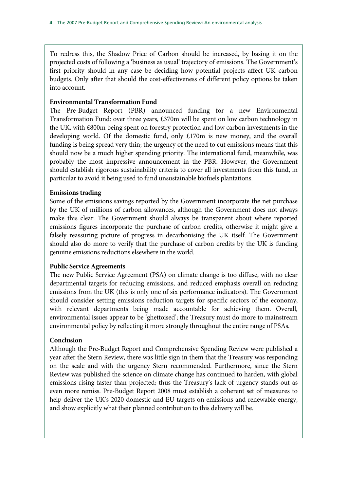To redress this, the Shadow Price of Carbon should be increased, by basing it on the projected costs of following a 'business as usual' trajectory of emissions. The Government's first priority should in any case be deciding how potential projects affect UK carbon budgets. Only after that should the cost-effectiveness of different policy options be taken into account.

#### **Environmental Transformation Fund**

The Pre-Budget Report (PBR) announced funding for a new Environmental Transformation Fund: over three years, £370m will be spent on low carbon technology in the UK, with £800m being spent on forestry protection and low carbon investments in the developing world. Of the domestic fund, only £170m is new money, and the overall funding is being spread very thin; the urgency of the need to cut emissions means that this should now be a much higher spending priority. The international fund, meanwhile, was probably the most impressive announcement in the PBR. However, the Government should establish rigorous sustainability criteria to cover all investments from this fund, in particular to avoid it being used to fund unsustainable biofuels plantations.

### **Emissions trading**

Some of the emissions savings reported by the Government incorporate the net purchase by the UK of millions of carbon allowances, although the Government does not always make this clear. The Government should always be transparent about where reported emissions figures incorporate the purchase of carbon credits, otherwise it might give a falsely reassuring picture of progress in decarbonising the UK itself. The Government should also do more to verify that the purchase of carbon credits by the UK is funding genuine emissions reductions elsewhere in the world.

#### **Public Service Agreements**

The new Public Service Agreement (PSA) on climate change is too diffuse, with no clear departmental targets for reducing emissions, and reduced emphasis overall on reducing emissions from the UK (this is only one of six performance indicators). The Government should consider setting emissions reduction targets for specific sectors of the economy, with relevant departments being made accountable for achieving them. Overall, environmental issues appear to be 'ghettoised'; the Treasury must do more to mainstream environmental policy by reflecting it more strongly throughout the entire range of PSAs.

#### **Conclusion**

Although the Pre-Budget Report and Comprehensive Spending Review were published a year after the Stern Review, there was little sign in them that the Treasury was responding on the scale and with the urgency Stern recommended. Furthermore, since the Stern Review was published the science on climate change has continued to harden, with global emissions rising faster than projected; thus the Treasury's lack of urgency stands out as even more remiss. Pre-Budget Report 2008 must establish a coherent set of measures to help deliver the UK's 2020 domestic and EU targets on emissions and renewable energy, and show explicitly what their planned contribution to this delivery will be.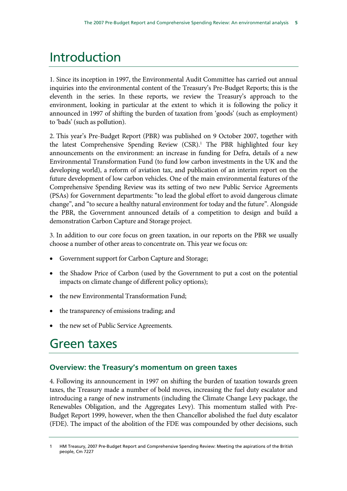## Introduction

1. Since its inception in 1997, the Environmental Audit Committee has carried out annual inquiries into the environmental content of the Treasury's Pre-Budget Reports; this is the eleventh in the series. In these reports, we review the Treasury's approach to the environment, looking in particular at the extent to which it is following the policy it announced in 1997 of shifting the burden of taxation from 'goods' (such as employment) to 'bads' (such as pollution).

2. This year's Pre-Budget Report (PBR) was published on 9 October 2007, together with the latest Comprehensive Spending Review (CSR).<sup>1</sup> The PBR highlighted four key announcements on the environment: an increase in funding for Defra, details of a new Environmental Transformation Fund (to fund low carbon investments in the UK and the developing world), a reform of aviation tax, and publication of an interim report on the future development of low carbon vehicles. One of the main environmental features of the Comprehensive Spending Review was its setting of two new Public Service Agreements (PSAs) for Government departments: "to lead the global effort to avoid dangerous climate change", and "to secure a healthy natural environment for today and the future". Alongside the PBR, the Government announced details of a competition to design and build a demonstration Carbon Capture and Storage project.

3. In addition to our core focus on green taxation, in our reports on the PBR we usually choose a number of other areas to concentrate on. This year we focus on:

- Government support for Carbon Capture and Storage;
- the Shadow Price of Carbon (used by the Government to put a cost on the potential impacts on climate change of different policy options);
- the new Environmental Transformation Fund;
- the transparency of emissions trading; and
- the new set of Public Service Agreements.

### Green taxes

### **Overview: the Treasury's momentum on green taxes**

4. Following its announcement in 1997 on shifting the burden of taxation towards green taxes, the Treasury made a number of bold moves, increasing the fuel duty escalator and introducing a range of new instruments (including the Climate Change Levy package, the Renewables Obligation, and the Aggregates Levy). This momentum stalled with Pre-Budget Report 1999, however, when the then Chancellor abolished the fuel duty escalator (FDE). The impact of the abolition of the FDE was compounded by other decisions, such

<sup>1</sup> HM Treasury, 2007 Pre-Budget Report and Comprehensive Spending Review: Meeting the aspirations of the British people, Cm 7227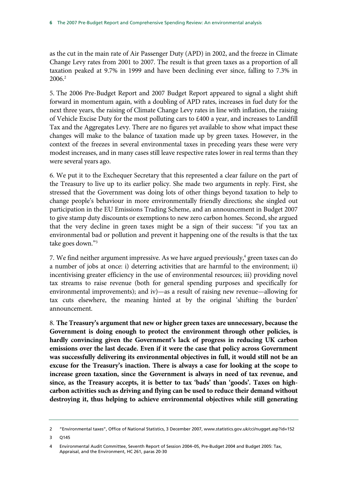as the cut in the main rate of Air Passenger Duty (APD) in 2002, and the freeze in Climate Change Levy rates from 2001 to 2007. The result is that green taxes as a proportion of all taxation peaked at 9.7% in 1999 and have been declining ever since, falling to 7.3% in 2006.2

5. The 2006 Pre-Budget Report and 2007 Budget Report appeared to signal a slight shift forward in momentum again, with a doubling of APD rates, increases in fuel duty for the next three years, the raising of Climate Change Levy rates in line with inflation, the raising of Vehicle Excise Duty for the most polluting cars to £400 a year, and increases to Landfill Tax and the Aggregates Levy. There are no figures yet available to show what impact these changes will make to the balance of taxation made up by green taxes. However, in the context of the freezes in several environmental taxes in preceding years these were very modest increases, and in many cases still leave respective rates lower in real terms than they were several years ago.

6. We put it to the Exchequer Secretary that this represented a clear failure on the part of the Treasury to live up to its earlier policy. She made two arguments in reply. First, she stressed that the Government was doing lots of other things beyond taxation to help to change people's behaviour in more environmentally friendly directions; she singled out participation in the EU Emissions Trading Scheme, and an announcement in Budget 2007 to give stamp duty discounts or exemptions to new zero carbon homes. Second, she argued that the very decline in green taxes might be a sign of their success: "if you tax an environmental bad or pollution and prevent it happening one of the results is that the tax take goes down."3

7. We find neither argument impressive. As we have argued previously,<sup>4</sup> green taxes can do a number of jobs at once: i) deterring activities that are harmful to the environment; ii) incentivising greater efficiency in the use of environmental resources; iii) providing novel tax streams to raise revenue (both for general spending purposes and specifically for environmental improvements); and iv)—as a result of raising new revenue—allowing for tax cuts elsewhere, the meaning hinted at by the original 'shifting the burden' announcement.

8. **The Treasury's argument that new or higher green taxes are unnecessary, because the Government is doing enough to protect the environment through other policies, is hardly convincing given the Government's lack of progress in reducing UK carbon emissions over the last decade. Even if it were the case that policy across Government was successfully delivering its environmental objectives in full, it would still not be an excuse for the Treasury's inaction. There is always a case for looking at the scope to increase green taxation, since the Government is always in need of tax revenue, and since, as the Treasury accepts, it is better to tax 'bads' than 'goods'. Taxes on highcarbon activities such as driving and flying can be used to reduce their demand without destroying it, thus helping to achieve environmental objectives while still generating** 

<sup>2 &</sup>quot;Environmental taxes", Office of National Statistics, 3 December 2007, www.statistics.gov.uk/cci/nugget.asp?id=152

<sup>3</sup> Q145

<sup>4</sup> Environmental Audit Committee, Seventh Report of Session 2004–05, Pre-Budget 2004 and Budget 2005: Tax, Appraisal, and the Environment, HC 261, paras 20-30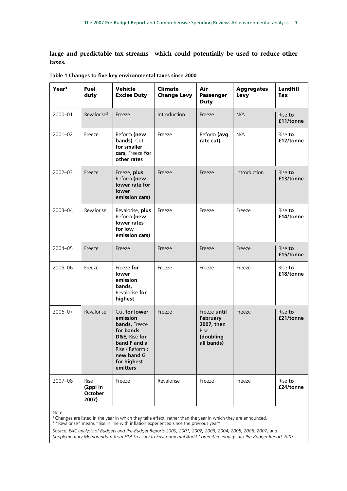**large and predictable tax streams—which could potentially be used to reduce other taxes.**

| Year <sup>1</sup> | <b>Fuel</b><br>duty                  | Vehicle<br><b>Excise Duty</b>                                                                                                                       | <b>Climate</b><br><b>Change Levy</b> | Air<br><b>Passenger</b><br><b>Duty</b>                                           | <b>Aggregates</b><br>Levy | Landfill<br><b>Tax</b> |
|-------------------|--------------------------------------|-----------------------------------------------------------------------------------------------------------------------------------------------------|--------------------------------------|----------------------------------------------------------------------------------|---------------------------|------------------------|
| 2000-01           | Revalorise <sup>2</sup>              | Freeze                                                                                                                                              | Introduction                         | Freeze                                                                           | N/A                       | Rise to<br>£11/tonne   |
| $2001 - 02$       | Freeze                               | Reform (new<br><b>bands)</b> , Cut<br>for smaller<br>cars, Freeze for<br>other rates                                                                | Freeze                               | Reform (avg<br>rate cut)                                                         | N/A                       | Rise to<br>£12/tonne   |
| $2002 - 03$       | Freeze                               | Freeze, plus<br>Reform (new<br>lower rate for<br>lower<br>emission cars)                                                                            | Freeze                               | Freeze                                                                           | Introduction              | Rise to<br>£13/tonne   |
| 2003-04           | Revalorise                           | Revalorise, plus<br>Reform (new<br>lower rates<br>for low<br>emission cars)                                                                         | Freeze                               | Freeze                                                                           | Freeze                    | Rise to<br>£14/tonne   |
| 2004-05           | Freeze                               | Freeze                                                                                                                                              | Freeze                               | Freeze                                                                           | Freeze                    | Rise to<br>£15/tonne   |
| 2005-06           | Freeze                               | Freeze for<br>lower<br>emission<br>bands,<br>Revalorise for<br>highest                                                                              | Freeze                               | Freeze                                                                           | Freeze                    | Rise to<br>£18/tonne   |
| 2006-07           | Revalorise                           | Cut for lower<br>emission<br>bands, Freeze<br>for bands<br>D&E, Rise for<br>band F and a<br>Rise / Reform:<br>new band G<br>for highest<br>emitters | Freeze                               | Freeze until<br>February<br>2007, then<br><b>Rise</b><br>(doubling<br>all bands) | Freeze                    | Rise to<br>£21/tonne   |
| 2007-08           | Rise<br>(2ppl in<br>October<br>2007) | Freeze                                                                                                                                              | Revalorise                           | Freeze                                                                           | Freeze                    | Rise to<br>£24/tonne   |

**Table 1 Changes to five key environmental taxes since 2000** 

Note:

<sup>1</sup> Changes are listed in the year in which they take effect, rather than the year in which they are announced.<br><sup>2</sup> "Revalorise" means "rise in line with inflation experienced since the previous year".

*Source: EAC analysis of Budgets and Pre-Budget Reports 2000, 2001, 2002, 2003, 2004, 2005, 2006, 2007; and Supplementary Memorandum from HM Treasury to Environmental Audit Committee inquiry into Pre-Budget Report 2005*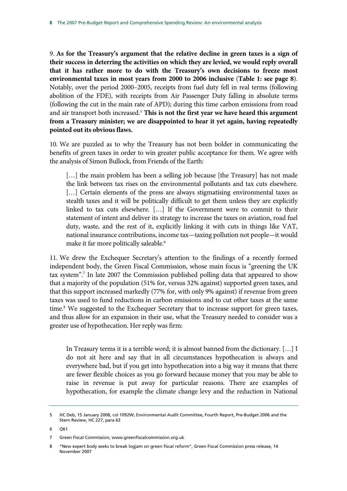9. **As for the Treasury's argument that the relative decline in green taxes is a sign of their success in deterring the activities on which they are levied, we would reply overall that it has rather more to do with the Treasury's own decisions to freeze most environmental taxes in most years from 2000 to 2006 inclusive** (**Table 1: see page 8**). Notably, over the period 2000–2005, receipts from fuel duty fell in real terms (following abolition of the FDE), with receipts from Air Passenger Duty falling in absolute terms (following the cut in the main rate of APD); during this time carbon emissions from road and air transport both increased.<sup>5</sup> This is not the first year we have heard this argument **from a Treasury minister; we are disappointed to hear it yet again, having repeatedly pointed out its obvious flaws.**

10. We are puzzled as to why the Treasury has not been bolder in communicating the benefits of green taxes in order to win greater public acceptance for them. We agree with the analysis of Simon Bullock, from Friends of the Earth:

[...] the main problem has been a selling job because [the Treasury] has not made the link between tax rises on the environmental pollutants and tax cuts elsewhere. [...] Certain elements of the press are always stigmatising environmental taxes as stealth taxes and it will be politically difficult to get them unless they are explicitly linked to tax cuts elsewhere. […] If the Government were to commit to their statement of intent and deliver its strategy to increase the taxes on aviation, road fuel duty, waste, and the rest of it, explicitly linking it with cuts in things like VAT, national insurance contributions, income tax—taxing pollution not people—it would make it far more politically saleable.<sup>6</sup>

11. We drew the Exchequer Secretary's attention to the findings of a recently formed independent body, the Green Fiscal Commission, whose main focus is "greening the UK tax system".7 In late 2007 the Commission published polling data that appeared to show that a majority of the population (51% for, versus 32% against) supported green taxes, and that this support increased markedly (77% for, with only 9% against) if revenue from green taxes was used to fund reductions in carbon emissions and to cut other taxes at the same time.<sup>8</sup> We suggested to the Exchequer Secretary that to increase support for green taxes, and thus allow for an expansion in their use, what the Treasury needed to consider was a greater use of hypothecation. Her reply was firm:

In Treasury terms it is a terrible word; it is almost banned from the dictionary. […] I do not sit here and say that in all circumstances hypothecation is always and everywhere bad, but if you get into hypothecation into a big way it means that there are fewer flexible choices as you go forward because money that you may be able to raise in revenue is put away for particular reasons. There are examples of hypothecation, for example the climate change levy and the reduction in National

6 Q61

<sup>5</sup> HC Deb, 15 January 2008, col 1092W; Environmental Audit Committee, Fourth Report, Pre-Budget 2006 and the Stern Review, HC 227, para 63

<sup>7</sup> Green Fiscal Commission, www.greenfiscalcommission.org.uk

<sup>8 &</sup>quot;New expert body seeks to break logjam on green fiscal reform", Green Fiscal Commission press release, 14 November 2007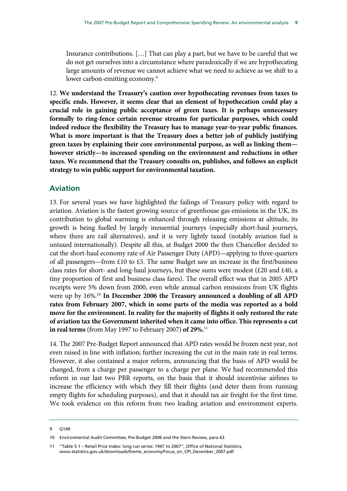Insurance contributions. […] That can play a part, but we have to be careful that we do not get ourselves into a circumstance where paradoxically if we are hypothecating large amounts of revenue we cannot achieve what we need to achieve as we shift to a lower carbon-emitting economy.<sup>9</sup>

12. **We understand the Treasury's caution over hypothecating revenues from taxes to specific ends. However, it seems clear that an element of hypothecation could play a crucial role in gaining public acceptance of green taxes. It is perhaps unnecessary formally to ring-fence certain revenue streams for particular purposes, which could indeed reduce the flexibility the Treasury has to manage year-to-year public finances. What is more important is that the Treasury does a better job of publicly justifying green taxes by explaining their core environmental purpose, as well as linking them however strictly—to increased spending on the environment and reductions in other taxes. We recommend that the Treasury consults on, publishes, and follows an explicit strategy to win public support for environmental taxation.**

### **Aviation**

13. For several years we have highlighted the failings of Treasury policy with regard to aviation. Aviation is the fastest growing source of greenhouse gas emissions in the UK, its contribution to global warming is enhanced through releasing emissions at altitude, its growth is being fuelled by largely inessential journeys (especially short-haul journeys, where there are rail alternatives), and it is very lightly taxed (notably aviation fuel is untaxed internationally). Despite all this, at Budget 2000 the then Chancellor decided to cut the short-haul economy rate of Air Passenger Duty (APD)—applying to three-quarters of all passengers—from £10 to £5. The same Budget saw an increase in the first/business class rates for short- and long-haul journeys, but these sums were modest (£20 and £40, a tiny proportion of first and business class fares). The overall effect was that in 2005 APD receipts were 5% down from 2000, even while annual carbon emissions from UK flights were up by 16%.10 **In December 2006 the Treasury announced a doubling of all APD rates from February 2007, which in some parts of the media was reported as a bold move for the environment. In reality for the majority of flights it only restored the rate of aviation tax the Government inherited when it came into office. This represents a cut in real terms** (from May 1997 to February 2007) **of 29%.**<sup>11</sup>

14. The 2007 Pre-Budget Report announced that APD rates would be frozen next year, not even raised in line with inflation; further increasing the cut in the main rate in real terms. However, it also contained a major reform, announcing that the basis of APD would be changed, from a charge per passenger to a charge per plane. We had recommended this reform in our last two PBR reports, on the basis that it should incentivise airlines to increase the efficiency with which they fill their flights (and deter them from running empty flights for scheduling purposes), and that it should tax air freight for the first time. We took evidence on this reform from two leading aviation and environment experts.

<sup>9</sup> Q149

<sup>10</sup> Environmental Audit Committee, Pre-Budget 2006 and the Stern Review, para 63

<sup>11 &</sup>quot;Table 5.1 – Retail Price Index: long run series: 1947 to 2007", Office of National Statistics, www.statistics.gov.uk/downloads/theme\_economy/Focus\_on\_CPI\_December\_2007.pdf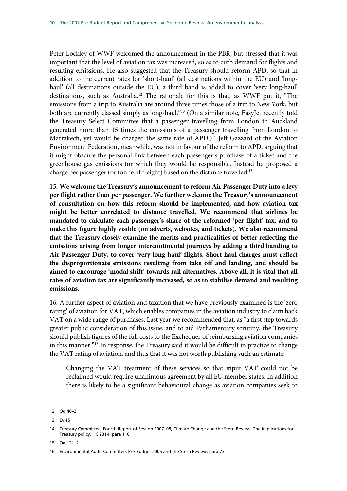Peter Lockley of WWF welcomed the announcement in the PBR; but stressed that it was important that the level of aviation tax was increased, so as to curb demand for flights and resulting emissions. He also suggested that the Treasury should reform APD, so that in addition to the current rates for 'short-haul' (all destinations within the EU) and 'longhaul' (all destinations outside the EU), a third band is added to cover 'very long-haul' destinations, such as Australia.12 The rationale for this is that, as WWF put it, "The emissions from a trip to Australia are around three times those of a trip to New York, but both are currently classed simply as long-haul."<sup>13</sup> (On a similar note, EasyJet recently told the Treasury Select Committee that a passenger travelling from London to Auckland generated more than 15 times the emissions of a passenger travelling from London to Marrakech, yet would be charged the same rate of APD.)<sup>14</sup> Jeff Gazzard of the Aviation Environment Federation, meanwhile, was not in favour of the reform to APD, arguing that it might obscure the personal link between each passenger's purchase of a ticket and the greenhouse gas emissions for which they would be responsible. Instead he proposed a charge per passenger (or tonne of freight) based on the distance travelled.15

15. **We welcome the Treasury's announcement to reform Air Passenger Duty into a levy per flight rather than per passenger. We further welcome the Treasury's announcement of consultation on how this reform should be implemented, and how aviation tax might be better correlated to distance travelled. We recommend that airlines be mandated to calculate each passenger's share of the reformed 'per-flight' tax, and to make this figure highly visible (on adverts, websites, and tickets). We also recommend that the Treasury closely examine the merits and practicalities of better reflecting the emissions arising from longer intercontinental journeys by adding a third banding to Air Passenger Duty, to cover 'very long-haul' flights. Short-haul charges must reflect the disproportionate emissions resulting from take off and landing, and should be aimed to encourage 'modal shift' towards rail alternatives. Above all, it is vital that all rates of aviation tax are significantly increased, so as to stabilise demand and resulting emissions.**

16. A further aspect of aviation and taxation that we have previously examined is the 'zero rating' of aviation for VAT, which enables companies in the aviation industry to claim back VAT on a wide range of purchases. Last year we recommended that, as "a first step towards greater public consideration of this issue, and to aid Parliamentary scrutiny, the Treasury should publish figures of the full costs to the Exchequer of reimbursing aviation companies in this manner."16 In response, the Treasury said it would be difficult in practice to change the VAT rating of aviation, and thus that it was not worth publishing such an estimate:

Changing the VAT treatment of these services so that input VAT could not be reclaimed would require unanimous agreement by all EU member states. In addition there is likely to be a significant behavioural change as aviation companies seek to

15 Qq 121–2

<sup>12</sup> Qq 40–2

<sup>13</sup> Ev 15

<sup>14</sup> Treasury Committee, Fourth Report of Session 2007–08, Climate Change and the Stern Review: The implications for Treasury policy, HC 231-I, para 110

<sup>16</sup> Environmental Audit Committee, Pre-Budget 2006 and the Stern Review, para 73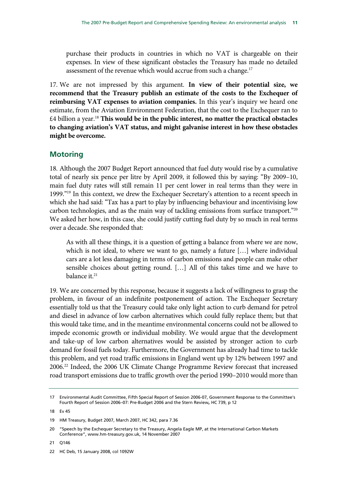purchase their products in countries in which no VAT is chargeable on their expenses. In view of these significant obstacles the Treasury has made no detailed assessment of the revenue which would accrue from such a change.<sup>17</sup>

17. We are not impressed by this argument. **In view of their potential size, we recommend that the Treasury publish an estimate of the costs to the Exchequer of reimbursing VAT expenses to aviation companies.** In this year's inquiry we heard one estimate, from the Aviation Environment Federation, that the cost to the Exchequer ran to £4 billion a year.18 **This would be in the public interest, no matter the practical obstacles to changing aviation's VAT status, and might galvanise interest in how these obstacles might be overcome.**

### **Motoring**

18. Although the 2007 Budget Report announced that fuel duty would rise by a cumulative total of nearly six pence per litre by April 2009, it followed this by saying: "By 2009–10, main fuel duty rates will still remain 11 per cent lower in real terms than they were in 1999."19 In this context, we drew the Exchequer Secretary's attention to a recent speech in which she had said: "Tax has a part to play by influencing behaviour and incentivising low carbon technologies, and as the main way of tackling emissions from surface transport."20 We asked her how, in this case, she could justify cutting fuel duty by so much in real terms over a decade. She responded that:

As with all these things, it is a question of getting a balance from where we are now, which is not ideal, to where we want to go, namely a future […] where individual cars are a lot less damaging in terms of carbon emissions and people can make other sensible choices about getting round. […] All of this takes time and we have to balance it.<sup>21</sup>

19. We are concerned by this response, because it suggests a lack of willingness to grasp the problem, in favour of an indefinite postponement of action. The Exchequer Secretary essentially told us that the Treasury could take only light action to curb demand for petrol and diesel in advance of low carbon alternatives which could fully replace them; but that this would take time, and in the meantime environmental concerns could not be allowed to impede economic growth or individual mobility. We would argue that the development and take-up of low carbon alternatives would be assisted by stronger action to curb demand for fossil fuels today. Furthermore, the Government has already had time to tackle this problem, and yet road traffic emissions in England went up by 12% between 1997 and 2006.22 Indeed, the 2006 UK Climate Change Programme Review forecast that increased road transport emissions due to traffic growth over the period 1990–2010 would more than

21 Q146

<sup>17</sup> Environmental Audit Committee, Fifth Special Report of Session 2006-07, Government Response to the Committee's Fourth Report of Session 2006–07: Pre-Budget 2006 and the Stern Review, HC 739, p 12

<sup>18</sup> Ev 45

<sup>19</sup> HM Treasury, Budget 2007, March 2007, HC 342, para 7.36

<sup>20 &</sup>quot;Speech by the Exchequer Secretary to the Treasury, Angela Eagle MP, at the International Carbon Markets Conference", www.hm-treasury.gov.uk, 14 November 2007

<sup>22</sup> HC Deb, 15 January 2008, col 1092W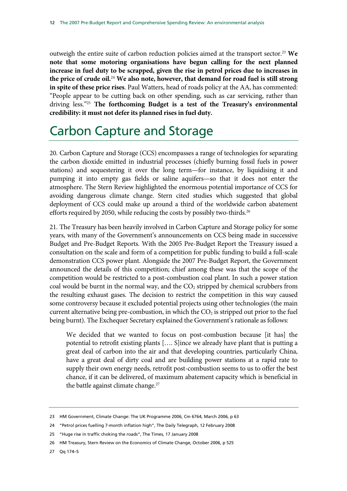outweigh the entire suite of carbon reduction policies aimed at the transport sector.<sup>23</sup> We **note that some motoring organisations have begun calling for the next planned increase in fuel duty to be scrapped, given the rise in petrol prices due to increases in the price of crude oil.**<sup>24</sup> **We also note, however, that demand for road fuel is still strong in spite of these price rises**. Paul Watters, head of roads policy at the AA, has commented: "People appear to be cutting back on other spending, such as car servicing, rather than driving less."25 **The forthcoming Budget is a test of the Treasury's environmental credibility: it must not defer its planned rises in fuel duty.**

## Carbon Capture and Storage

20. Carbon Capture and Storage (CCS) encompasses a range of technologies for separating the carbon dioxide emitted in industrial processes (chiefly burning fossil fuels in power stations) and sequestering it over the long term—for instance, by liquidising it and pumping it into empty gas fields or saline aquifers—so that it does not enter the atmosphere. The Stern Review highlighted the enormous potential importance of CCS for avoiding dangerous climate change. Stern cited studies which suggested that global deployment of CCS could make up around a third of the worldwide carbon abatement efforts required by 2050, while reducing the costs by possibly two-thirds.<sup>26</sup>

21. The Treasury has been heavily involved in Carbon Capture and Storage policy for some years, with many of the Government's announcements on CCS being made in successive Budget and Pre-Budget Reports. With the 2005 Pre-Budget Report the Treasury issued a consultation on the scale and form of a competition for public funding to build a full-scale demonstration CCS power plant. Alongside the 2007 Pre-Budget Report, the Government announced the details of this competition; chief among these was that the scope of the competition would be restricted to a post-combustion coal plant. In such a power station coal would be burnt in the normal way, and the  $CO<sub>2</sub>$  stripped by chemical scrubbers from the resulting exhaust gases. The decision to restrict the competition in this way caused some controversy because it excluded potential projects using other technologies (the main current alternative being pre-combustion, in which the  $CO<sub>2</sub>$  is stripped out prior to the fuel being burnt). The Exchequer Secretary explained the Government's rationale as follows:

We decided that we wanted to focus on post-combustion because [it has] the potential to retrofit existing plants […. S]ince we already have plant that is putting a great deal of carbon into the air and that developing countries, particularly China, have a great deal of dirty coal and are building power stations at a rapid rate to supply their own energy needs, retrofit post-combustion seems to us to offer the best chance, if it can be delivered, of maximum abatement capacity which is beneficial in the battle against climate change.<sup>27</sup>

27 Qq 174–5

<sup>23</sup> HM Government, Climate Change: The UK Programme 2006, Cm 6764, March 2006, p 63

<sup>24 &</sup>quot;Petrol prices fuelling 7-month inflation high", The Daily Telegraph, 12 February 2008

<sup>25 &</sup>quot;Huge rise in traffic choking the roads", The Times, 17 January 2008

<sup>26</sup> HM Treasury, Stern Review on the Economics of Climate Change, October 2006, p 525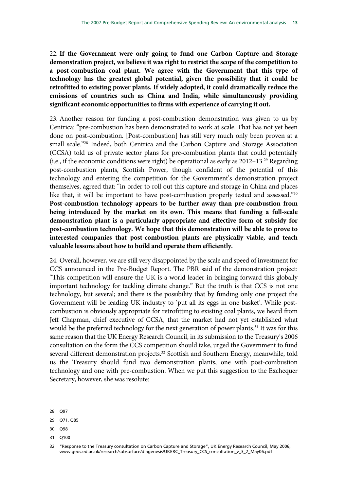22. **If the Government were only going to fund one Carbon Capture and Storage demonstration project, we believe it was right to restrict the scope of the competition to a post-combustion coal plant. We agree with the Government that this type of technology has the greatest global potential, given the possibility that it could be retrofitted to existing power plants. If widely adopted, it could dramatically reduce the emissions of countries such as China and India, while simultaneously providing significant economic opportunities to firms with experience of carrying it out.**

23. Another reason for funding a post-combustion demonstration was given to us by Centrica: "pre-combustion has been demonstrated to work at scale. That has not yet been done on post-combustion. [Post-combustion] has still very much only been proven at a small scale."<sup>28</sup> Indeed, both Centrica and the Carbon Capture and Storage Association (CCSA) told us of private sector plans for pre-combustion plants that could potentially (i.e., if the economic conditions were right) be operational as early as  $2012-13.^{29}$  Regarding post-combustion plants, Scottish Power, though confident of the potential of this technology and entering the competition for the Government's demonstration project themselves, agreed that: "in order to roll out this capture and storage in China and places like that, it will be important to have post-combustion properly tested and assessed."30 **Post-combustion technology appears to be further away than pre-combustion from being introduced by the market on its own. This means that funding a full-scale demonstration plant is a particularly appropriate and effective form of subsidy for post-combustion technology. We hope that this demonstration will be able to prove to interested companies that post-combustion plants are physically viable, and teach valuable lessons about how to build and operate them efficiently.**

24. Overall, however, we are still very disappointed by the scale and speed of investment for CCS announced in the Pre-Budget Report. The PBR said of the demonstration project: "This competition will ensure the UK is a world leader in bringing forward this globally important technology for tackling climate change." But the truth is that CCS is not one technology, but several; and there is the possibility that by funding only one project the Government will be leading UK industry to 'put all its eggs in one basket'. While postcombustion is obviously appropriate for retrofitting to existing coal plants, we heard from Jeff Chapman, chief executive of CCSA, that the market had not yet established what would be the preferred technology for the next generation of power plants.<sup>31</sup> It was for this same reason that the UK Energy Research Council, in its submission to the Treasury's 2006 consultation on the form the CCS competition should take, urged the Government to fund several different demonstration projects.<sup>32</sup> Scottish and Southern Energy, meanwhile, told us the Treasury should fund two demonstration plants, one with post-combustion technology and one with pre-combustion. When we put this suggestion to the Exchequer Secretary, however, she was resolute:

- 30 Q98
- 31 Q100

<sup>28</sup> Q97

<sup>29</sup> Q71, Q85

<sup>32 &</sup>quot;Response to the Treasury consultation on Carbon Capture and Storage", UK Energy Research Council, May 2006, www.geos.ed.ac.uk/research/subsurface/diagenesis/UKERC\_Treasury\_CCS\_consultation\_v\_3\_2\_May06.pdf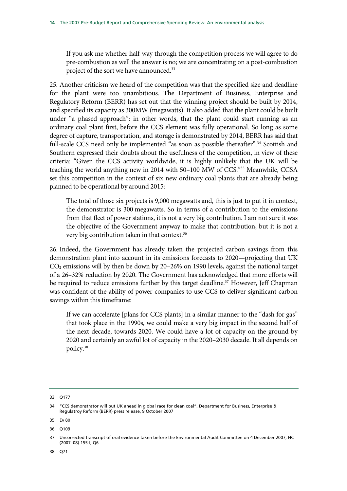If you ask me whether half-way through the competition process we will agree to do pre-combustion as well the answer is no; we are concentrating on a post-combustion project of the sort we have announced.<sup>33</sup>

25. Another criticism we heard of the competition was that the specified size and deadline for the plant were too unambitious. The Department of Business, Enterprise and Regulatory Reform (BERR) has set out that the winning project should be built by 2014, and specified its capacity as 300MW (megawatts). It also added that the plant could be built under "a phased approach": in other words, that the plant could start running as an ordinary coal plant first, before the CCS element was fully operational. So long as some degree of capture, transportation, and storage is demonstrated by 2014, BERR has said that full-scale CCS need only be implemented "as soon as possible thereafter".<sup>34</sup> Scottish and Southern expressed their doubts about the usefulness of the competition, in view of these criteria: "Given the CCS activity worldwide, it is highly unlikely that the UK will be teaching the world anything new in 2014 with 50–100 MW of CCS."35 Meanwhile, CCSA set this competition in the context of six new ordinary coal plants that are already being planned to be operational by around 2015:

The total of those six projects is 9,000 megawatts and, this is just to put it in context, the demonstrator is 300 megawatts. So in terms of a contribution to the emissions from that fleet of power stations, it is not a very big contribution. I am not sure it was the objective of the Government anyway to make that contribution, but it is not a very big contribution taken in that context.<sup>36</sup>

26. Indeed, the Government has already taken the projected carbon savings from this demonstration plant into account in its emissions forecasts to 2020—projecting that UK  $CO<sub>2</sub>$  emissions will by then be down by 20–26% on 1990 levels, against the national target of a 26–32% reduction by 2020. The Government has acknowledged that more efforts will be required to reduce emissions further by this target deadline.<sup>37</sup> However, Jeff Chapman was confident of the ability of power companies to use CCS to deliver significant carbon savings within this timeframe:

If we can accelerate [plans for CCS plants] in a similar manner to the "dash for gas" that took place in the 1990s, we could make a very big impact in the second half of the next decade, towards 2020. We could have a lot of capacity on the ground by 2020 and certainly an awful lot of capacity in the 2020–2030 decade. It all depends on policy.38

33 Q177

38 Q71

<sup>34 &</sup>quot;CCS demonstrator will put UK ahead in global race for clean coal", Department for Business, Enterprise & Regulatroy Reform (BERR) press release, 9 October 2007

<sup>35</sup> Ev 80

<sup>36</sup> Q109

<sup>37</sup> Uncorrected transcript of oral evidence taken before the Environmental Audit Committee on 4 December 2007, HC (2007–08) 155-I, Q6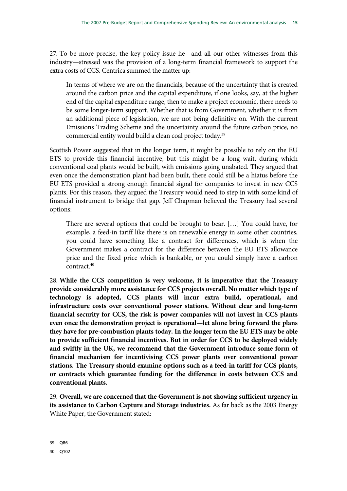27. To be more precise, the key policy issue he—and all our other witnesses from this industry—stressed was the provision of a long-term financial framework to support the extra costs of CCS. Centrica summed the matter up:

In terms of where we are on the financials, because of the uncertainty that is created around the carbon price and the capital expenditure, if one looks, say, at the higher end of the capital expenditure range, then to make a project economic, there needs to be some longer-term support. Whether that is from Government, whether it is from an additional piece of legislation, we are not being definitive on. With the current Emissions Trading Scheme and the uncertainty around the future carbon price, no commercial entity would build a clean coal project today.<sup>39</sup>

Scottish Power suggested that in the longer term, it might be possible to rely on the EU ETS to provide this financial incentive, but this might be a long wait, during which conventional coal plants would be built, with emissions going unabated. They argued that even once the demonstration plant had been built, there could still be a hiatus before the EU ETS provided a strong enough financial signal for companies to invest in new CCS plants. For this reason, they argued the Treasury would need to step in with some kind of financial instrument to bridge that gap. Jeff Chapman believed the Treasury had several options:

There are several options that could be brought to bear. […] You could have, for example, a feed-in tariff like there is on renewable energy in some other countries, you could have something like a contract for differences, which is when the Government makes a contract for the difference between the EU ETS allowance price and the fixed price which is bankable, or you could simply have a carbon contract.40

28. **While the CCS competition is very welcome, it is imperative that the Treasury provide considerably more assistance for CCS projects overall. No matter which type of technology is adopted, CCS plants will incur extra build, operational, and infrastructure costs over conventional power stations. Without clear and long-term financial security for CCS, the risk is power companies will not invest in CCS plants even once the demonstration project is operational—let alone bring forward the plans they have for pre-combustion plants today. In the longer term the EU ETS may be able to provide sufficient financial incentives. But in order for CCS to be deployed widely and swiftly in the UK, we recommend that the Government introduce some form of financial mechanism for incentivising CCS power plants over conventional power stations. The Treasury should examine options such as a feed-in tariff for CCS plants, or contracts which guarantee funding for the difference in costs between CCS and conventional plants.** 

29. **Overall, we are concerned that the Government is not showing sufficient urgency in its assistance to Carbon Capture and Storage industries.** As far back as the 2003 Energy White Paper, the Government stated:

39 Q86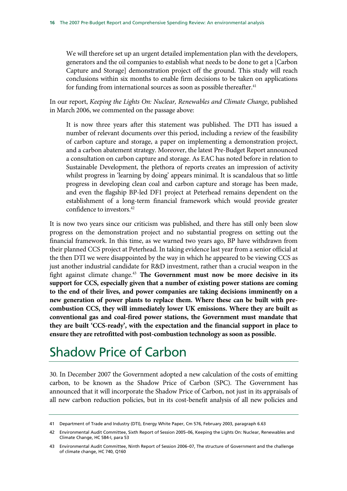We will therefore set up an urgent detailed implementation plan with the developers, generators and the oil companies to establish what needs to be done to get a [Carbon Capture and Storage] demonstration project off the ground. This study will reach conclusions within six months to enable firm decisions to be taken on applications for funding from international sources as soon as possible thereafter.<sup>41</sup>

In our report, *Keeping the Lights On: Nuclear, Renewables and Climate Change*, published in March 2006, we commented on the passage above:

It is now three years after this statement was published. The DTI has issued a number of relevant documents over this period, including a review of the feasibility of carbon capture and storage, a paper on implementing a demonstration project, and a carbon abatement strategy. Moreover, the latest Pre-Budget Report announced a consultation on carbon capture and storage. As EAC has noted before in relation to Sustainable Development, the plethora of reports creates an impression of activity whilst progress in 'learning by doing' appears minimal. It is scandalous that so little progress in developing clean coal and carbon capture and storage has been made, and even the flagship BP-led DF1 project at Peterhead remains dependent on the establishment of a long-term financial framework which would provide greater confidence to investors.42

It is now two years since our criticism was published, and there has still only been slow progress on the demonstration project and no substantial progress on setting out the financial framework. In this time, as we warned two years ago, BP have withdrawn from their planned CCS project at Peterhead. In taking evidence last year from a senior official at the then DTI we were disappointed by the way in which he appeared to be viewing CCS as just another industrial candidate for R&D investment, rather than a crucial weapon in the fight against climate change.<sup>43</sup> The Government must now be more decisive in its **support for CCS, especially given that a number of existing power stations are coming to the end of their lives, and power companies are taking decisions imminently on a new generation of power plants to replace them. Where these can be built with precombustion CCS, they will immediately lower UK emissions. Where they are built as conventional gas and coal-fired power stations, the Government must mandate that they are built 'CCS-ready', with the expectation and the financial support in place to ensure they are retrofitted with post-combustion technology as soon as possible.**

## Shadow Price of Carbon

30. In December 2007 the Government adopted a new calculation of the costs of emitting carbon, to be known as the Shadow Price of Carbon (SPC). The Government has announced that it will incorporate the Shadow Price of Carbon, not just in its appraisals of all new carbon reduction policies, but in its cost-benefit analysis of all new policies and

<sup>41</sup> Department of Trade and Industry (DTI), Energy White Paper, Cm 576, February 2003, paragraph 6.63

<sup>42</sup> Environmental Audit Committee, Sixth Report of Session 2005–06, Keeping the Lights On: Nuclear, Renewables and Climate Change, HC 584-I, para 53

<sup>43</sup> Environmental Audit Committee, Ninth Report of Session 2006–07, The structure of Government and the challenge of climate change, HC 740, Q160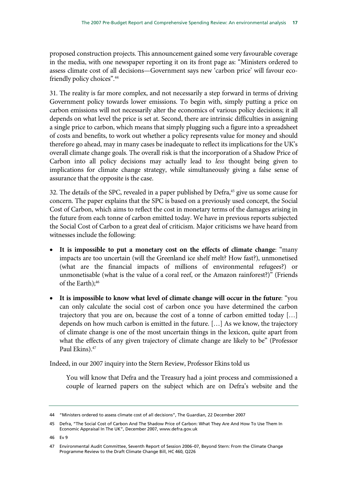proposed construction projects. This announcement gained some very favourable coverage in the media, with one newspaper reporting it on its front page as: "Ministers ordered to assess climate cost of all decisions—Government says new 'carbon price' will favour ecofriendly policy choices".<sup>44</sup>

31. The reality is far more complex, and not necessarily a step forward in terms of driving Government policy towards lower emissions. To begin with, simply putting a price on carbon emissions will not necessarily alter the economics of various policy decisions; it all depends on what level the price is set at. Second, there are intrinsic difficulties in assigning a single price to carbon, which means that simply plugging such a figure into a spreadsheet of costs and benefits, to work out whether a policy represents value for money and should therefore go ahead, may in many cases be inadequate to reflect its implications for the UK's overall climate change goals. The overall risk is that the incorporation of a Shadow Price of Carbon into all policy decisions may actually lead to *less* thought being given to implications for climate change strategy, while simultaneously giving a false sense of assurance that the opposite is the case.

32. The details of the SPC, revealed in a paper published by Defra,<sup>45</sup> give us some cause for concern. The paper explains that the SPC is based on a previously used concept, the Social Cost of Carbon, which aims to reflect the cost in monetary terms of the damages arising in the future from each tonne of carbon emitted today. We have in previous reports subjected the Social Cost of Carbon to a great deal of criticism. Major criticisms we have heard from witnesses include the following:

- **It is impossible to put a monetary cost on the effects of climate change**: "many impacts are too uncertain (will the Greenland ice shelf melt? How fast?), unmonetised (what are the financial impacts of millions of environmental refugees?) or unmonetisable (what is the value of a coral reef, or the Amazon rainforest?)" (Friends of the Earth);<sup>46</sup>
- **It is impossible to know what level of climate change will occur in the future**: "you can only calculate the social cost of carbon once you have determined the carbon trajectory that you are on, because the cost of a tonne of carbon emitted today […] depends on how much carbon is emitted in the future. […] As we know, the trajectory of climate change is one of the most uncertain things in the lexicon, quite apart from what the effects of any given trajectory of climate change are likely to be" (Professor Paul Ekins).<sup>47</sup>

Indeed, in our 2007 inquiry into the Stern Review, Professor Ekins told us

You will know that Defra and the Treasury had a joint process and commissioned a couple of learned papers on the subject which are on Defra's website and the

<sup>44 &</sup>quot;Ministers ordered to assess climate cost of all decisions", The Guardian, 22 December 2007

<sup>45</sup> Defra, "The Social Cost of Carbon And The Shadow Price of Carbon: What They Are And How To Use Them In Economic Appraisal In The UK", December 2007, www.defra.gov.uk

<sup>46</sup> Ev 9

<sup>47</sup> Environmental Audit Committee, Seventh Report of Session 2006–07, Beyond Stern: From the Climate Change Programme Review to the Draft Climate Change Bill, HC 460, Q226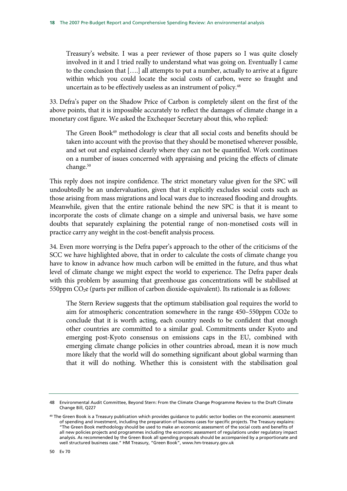Treasury's website. I was a peer reviewer of those papers so I was quite closely involved in it and I tried really to understand what was going on. Eventually I came to the conclusion that [….] all attempts to put a number, actually to arrive at a figure within which you could locate the social costs of carbon, were so fraught and uncertain as to be effectively useless as an instrument of policy.<sup>48</sup>

33. Defra's paper on the Shadow Price of Carbon is completely silent on the first of the above points, that it is impossible accurately to reflect the damages of climate change in a monetary cost figure. We asked the Exchequer Secretary about this, who replied:

The Green Book<sup>49</sup> methodology is clear that all social costs and benefits should be taken into account with the proviso that they should be monetised wherever possible, and set out and explained clearly where they can not be quantified. Work continues on a number of issues concerned with appraising and pricing the effects of climate change.<sup>50</sup>

This reply does not inspire confidence. The strict monetary value given for the SPC will undoubtedly be an undervaluation, given that it explicitly excludes social costs such as those arising from mass migrations and local wars due to increased flooding and droughts. Meanwhile, given that the entire rationale behind the new SPC is that it is meant to incorporate the costs of climate change on a simple and universal basis, we have some doubts that separately explaining the potential range of non-monetised costs will in practice carry any weight in the cost-benefit analysis process.

34. Even more worrying is the Defra paper's approach to the other of the criticisms of the SCC we have highlighted above, that in order to calculate the costs of climate change you have to know in advance how much carbon will be emitted in the future, and thus what level of climate change we might expect the world to experience. The Defra paper deals with this problem by assuming that greenhouse gas concentrations will be stabilised at 550ppm  $CO<sub>2</sub>e$  (parts per million of carbon dioxide-equivalent). Its rationale is as follows:

The Stern Review suggests that the optimum stabilisation goal requires the world to aim for atmospheric concentration somewhere in the range 450–550ppm CO2e to conclude that it is worth acting, each country needs to be confident that enough other countries are committed to a similar goal. Commitments under Kyoto and emerging post-Kyoto consensus on emissions caps in the EU, combined with emerging climate change policies in other countries abroad, mean it is now much more likely that the world will do something significant about global warming than that it will do nothing. Whether this is consistent with the stabilisation goal

<sup>48</sup> Environmental Audit Committee, Beyond Stern: From the Climate Change Programme Review to the Draft Climate Change Bill, Q227

<sup>&</sup>lt;sup>49</sup> The Green Book is a Treasury publication which provides guidance to public sector bodies on the economic assessment of spending and investment, including the preparation of business cases for specific projects. The Treasury explains: "The Green Book methodology should be used to make an economic assessment of the social costs and benefits of all new policies projects and programmes including the economic assessment of regulations under regulatory impact analysis. As recommended by the Green Book all spending proposals should be accompanied by a proportionate and well structured business case." HM Treasury, "Green Book", www.hm-treasury.gov.uk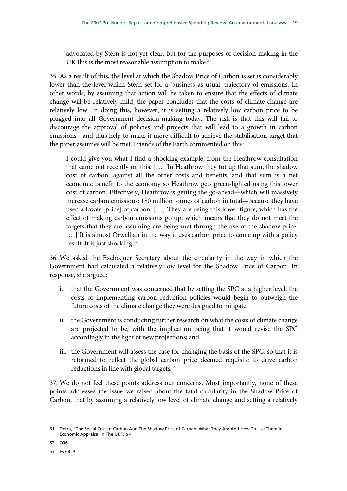advocated by Stern is not yet clear, but for the purposes of decision making in the UK this is the most reasonable assumption to make.<sup>51</sup>

35. As a result of this, the level at which the Shadow Price of Carbon is set is considerably lower than the level which Stern set for a 'business as usual' trajectory of emissions. In other words, by assuming that action will be taken to ensure that the effects of climate change will be relatively mild, the paper concludes that the costs of climate change are relatively low. In doing this, however, it is setting a relatively low carbon price to be plugged into all Government decision-making today. The risk is that this will fail to discourage the approval of policies and projects that will lead to a growth in carbon emissions—and thus help to make it more difficult to achieve the stabilisation target that the paper assumes will be met. Friends of the Earth commented on this:

I could give you what I find a shocking example, from the Heathrow consultation that came out recently on this. […] In Heathrow they tot up that sum, the shadow cost of carbon, against all the other costs and benefits, and that sum is a net economic benefit to the economy so Heathrow gets green-lighted using this lower cost of carbon. Effectively, Heathrow is getting the go-ahead—which will massively increase carbon emissions: 180 million tonnes of carbon in total—because they have used a lower [price] of carbon. […] They are using this lower figure, which has the effect of making carbon emissions go up, which means that they do not meet the targets that they are assuming are being met through the use of the shadow price. [...] It is almost Orwellian in the way it uses carbon price to come up with a policy result. It is just shocking.<sup>52</sup>

36. We asked the Exchequer Secretary about the circularity in the way in which the Government had calculated a relatively low level for the Shadow Price of Carbon. In response, she argued:

- i. that the Government was concerned that by setting the SPC at a higher level, the costs of implementing carbon reduction policies would begin to outweigh the future costs of the climate change they were designed to mitigate;
- ii. the Government is conducting further research on what the costs of climate change are projected to be, with the implication being that it would revise the SPC accordingly in the light of new projections; and
- iii. the Government will assess the case for changing the basis of the SPC, so that it is reformed to reflect the global carbon price deemed requisite to drive carbon reductions in line with global targets.<sup>53</sup>

37. We do not feel these points address our concerns. Most importantly, none of these points addresses the issue we raised about the fatal circularity in the Shadow Price of Carbon, that by assuming a relatively low level of climate change and setting a relatively

52 Q36

53 Ev 68–9

<sup>51</sup> Defra, "The Social Cost of Carbon And The Shadow Price of Carbon: What They Are And How To Use Them In Economic Appraisal In The UK", p 4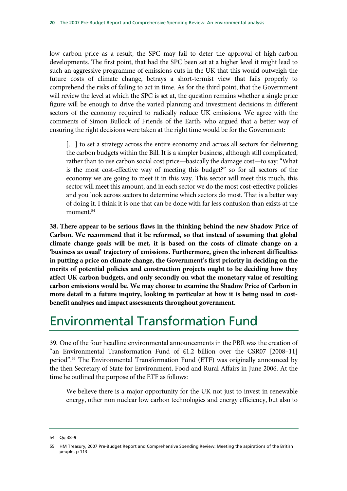low carbon price as a result, the SPC may fail to deter the approval of high-carbon developments. The first point, that had the SPC been set at a higher level it might lead to such an aggressive programme of emissions cuts in the UK that this would outweigh the future costs of climate change, betrays a short-termist view that fails properly to comprehend the risks of failing to act in time. As for the third point, that the Government will review the level at which the SPC is set at, the question remains whether a single price figure will be enough to drive the varied planning and investment decisions in different sectors of the economy required to radically reduce UK emissions. We agree with the comments of Simon Bullock of Friends of the Earth, who argued that a better way of ensuring the right decisions were taken at the right time would be for the Government:

[...] to set a strategy across the entire economy and across all sectors for delivering the carbon budgets within the Bill. It is a simpler business, although still complicated, rather than to use carbon social cost price—basically the damage cost—to say: "What is the most cost-effective way of meeting this budget?" so for all sectors of the economy we are going to meet it in this way. This sector will meet this much, this sector will meet this amount, and in each sector we do the most cost-effective policies and you look across sectors to determine which sectors do most. That is a better way of doing it. I think it is one that can be done with far less confusion than exists at the moment.54

**38. There appear to be serious flaws in the thinking behind the new Shadow Price of Carbon. We recommend that it be reformed, so that instead of assuming that global climate change goals will be met, it is based on the costs of climate change on a 'business as usual' trajectory of emissions. Furthermore, given the inherent difficulties in putting a price on climate change, the Government's first priority in deciding on the merits of potential policies and construction projects ought to be deciding how they affect UK carbon budgets, and only secondly on what the monetary value of resulting carbon emissions would be. We may choose to examine the Shadow Price of Carbon in more detail in a future inquiry, looking in particular at how it is being used in costbenefit analyses and impact assessments throughout government.** 

## Environmental Transformation Fund

39. One of the four headline environmental announcements in the PBR was the creation of "an Environmental Transformation Fund of  $£1.2$  billion over the CSR07 [2008-11] period".55 The Environmental Transformation Fund (ETF) was originally announced by the then Secretary of State for Environment, Food and Rural Affairs in June 2006. At the time he outlined the purpose of the ETF as follows:

We believe there is a major opportunity for the UK not just to invest in renewable energy, other non nuclear low carbon technologies and energy efficiency, but also to

<sup>54</sup> Qq 38–9

<sup>55</sup> HM Treasury, 2007 Pre-Budget Report and Comprehensive Spending Review: Meeting the aspirations of the British people, p 113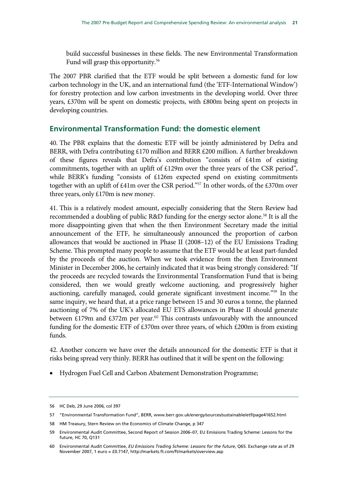build successful businesses in these fields. The new Environmental Transformation Fund will grasp this opportunity.56

The 2007 PBR clarified that the ETF would be split between a domestic fund for low carbon technology in the UK, and an international fund (the 'ETF-International Window') for forestry protection and low carbon investments in the developing world. Over three years, £370m will be spent on domestic projects, with £800m being spent on projects in developing countries.

### **Environmental Transformation Fund: the domestic element**

40. The PBR explains that the domestic ETF will be jointly administered by Defra and BERR, with Defra contributing £170 million and BERR £200 million. A further breakdown of these figures reveals that Defra's contribution "consists of £41m of existing commitments, together with an uplift of £129m over the three years of the CSR period", while BERR's funding "consists of £126m expected spend on existing commitments together with an uplift of £41m over the CSR period."57 In other words, of the £370m over three years, only £170m is new money.

41. This is a relatively modest amount, especially considering that the Stern Review had recommended a doubling of public R&D funding for the energy sector alone.<sup>58</sup> It is all the more disappointing given that when the then Environment Secretary made the initial announcement of the ETF, he simultaneously announced the proportion of carbon allowances that would be auctioned in Phase II (2008–12) of the EU Emissions Trading Scheme. This prompted many people to assume that the ETF would be at least part-funded by the proceeds of the auction. When we took evidence from the then Environment Minister in December 2006, he certainly indicated that it was being strongly considered: "If the proceeds are recycled towards the Environmental Transformation Fund that is being considered, then we would greatly welcome auctioning, and progressively higher auctioning, carefully managed, could generate significant investment income."59 In the same inquiry, we heard that, at a price range between 15 and 30 euros a tonne, the planned auctioning of 7% of the UK's allocated EU ETS allowances in Phase II should generate between £179m and £372m per year.<sup>60</sup> This contrasts unfavourably with the announced funding for the domestic ETF of £370m over three years, of which £200m is from existing funds.

42. Another concern we have over the details announced for the domestic ETF is that it risks being spread very thinly. BERR has outlined that it will be spent on the following:

• Hydrogen Fuel Cell and Carbon Abatement Demonstration Programme;

<sup>56</sup> HC Deb, 29 June 2006, col 397

<sup>57 &</sup>quot;Environmental Transformation Fund", BERR, www.berr.gov.uk/energy/sources/sustainable/etf/page41652.html

<sup>58</sup> HM Treasury, Stern Review on the Economics of Climate Change, p 347

<sup>59</sup> Environmental Audit Committee, Second Report of Session 2006–07, EU Emissions Trading Scheme: Lessons for the future, HC 70, Q131

<sup>60</sup> Environmental Audit Committee, *EU Emissions Trading Scheme: Lessons for the future*, Q65. Exchange rate as of 29 November 2007, 1 euro = £0.7147, http://markets.ft.com/ft/markets/overview.asp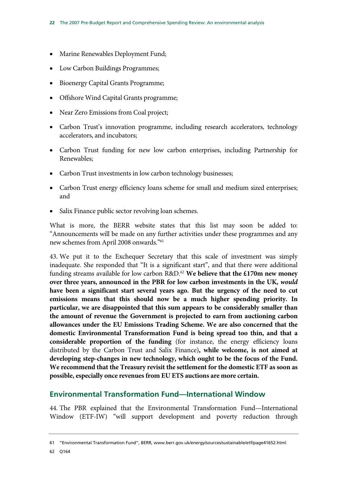- Marine Renewables Deployment Fund;
- Low Carbon Buildings Programmes;
- Bioenergy Capital Grants Programme;
- Offshore Wind Capital Grants programme;
- Near Zero Emissions from Coal project;
- Carbon Trust's innovation programme, including research accelerators, technology accelerators, and incubators;
- Carbon Trust funding for new low carbon enterprises, including Partnership for Renewables;
- Carbon Trust investments in low carbon technology businesses;
- Carbon Trust energy efficiency loans scheme for small and medium sized enterprises; and
- Salix Finance public sector revolving loan schemes.

What is more, the BERR website states that this list may soon be added to: "Announcements will be made on any further activities under these programmes and any new schemes from April 2008 onwards."61

43. We put it to the Exchequer Secretary that this scale of investment was simply inadequate. She responded that "It is a significant start", and that there were additional funding streams available for low carbon R&D.62 **We believe that the £170m new money over three years, announced in the PBR for low carbon investments in the UK,** *would* **have been a significant start several years ago. But the urgency of the need to cut emissions means that this should now be a much higher spending priority. In particular, we are disappointed that this sum appears to be considerably smaller than the amount of revenue the Government is projected to earn from auctioning carbon allowances under the EU Emissions Trading Scheme. We are also concerned that the domestic Environmental Transformation Fund is being spread too thin, and that a considerable proportion of the funding** (for instance, the energy efficiency loans distributed by the Carbon Trust and Salix Finance)**, while welcome, is not aimed at developing step-changes in new technology, which ought to be the focus of the Fund. We recommend that the Treasury revisit the settlement for the domestic ETF as soon as possible, especially once revenues from EU ETS auctions are more certain.**

### **Environmental Transformation Fund—International Window**

44. The PBR explained that the Environmental Transformation Fund—International Window (ETF-IW) "will support development and poverty reduction through

<sup>61 &</sup>quot;Environmental Transformation Fund", BERR, www.berr.gov.uk/energy/sources/sustainable/etf/page41652.html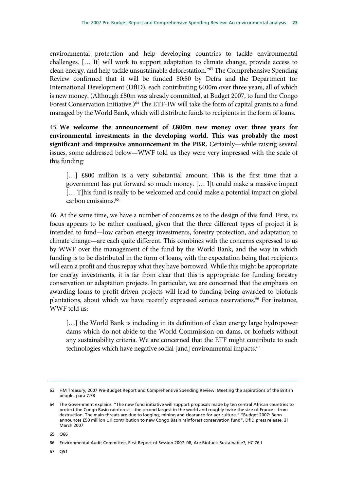environmental protection and help developing countries to tackle environmental challenges. [… It] will work to support adaptation to climate change, provide access to clean energy, and help tackle unsustainable deforestation."63 The Comprehensive Spending Review confirmed that it will be funded 50:50 by Defra and the Department for International Development (DfID), each contributing £400m over three years, all of which is new money. (Although £50m was already committed, at Budget 2007, to fund the Congo Forest Conservation Initiative.)<sup>64</sup> The ETF-IW will take the form of capital grants to a fund managed by the World Bank, which will distribute funds to recipients in the form of loans.

45. **We welcome the announcement of £800m new money over three years for environmental investments in the developing world. This was probably the most significant and impressive announcement in the PBR.** Certainly—while raising several issues, some addressed below—WWF told us they were very impressed with the scale of this funding:

[...] £800 million is a very substantial amount. This is the first time that a government has put forward so much money. [… I]t could make a massive impact [... T]his fund is really to be welcomed and could make a potential impact on global carbon emissions.<sup>65</sup>

46. At the same time, we have a number of concerns as to the design of this fund. First, its focus appears to be rather confused, given that the three different types of project it is intended to fund—low carbon energy investments, forestry protection, and adaptation to climate change—are each quite different. This combines with the concerns expressed to us by WWF over the management of the fund by the World Bank, and the way in which funding is to be distributed in the form of loans, with the expectation being that recipients will earn a profit and thus repay what they have borrowed. While this might be appropriate for energy investments, it is far from clear that this is appropriate for funding forestry conservation or adaptation projects. In particular, we are concerned that the emphasis on awarding loans to profit-driven projects will lead to funding being awarded to biofuels plantations, about which we have recently expressed serious reservations.<sup>66</sup> For instance, WWF told us:

[...] the World Bank is including in its definition of clean energy large hydropower dams which do not abide to the World Commission on dams, or biofuels without any sustainability criteria. We are concerned that the ETF might contribute to such technologies which have negative social [and] environmental impacts.<sup>67</sup>

65 Q66

67 Q51

<sup>63</sup> HM Treasury, 2007 Pre-Budget Report and Comprehensive Spending Review: Meeting the aspirations of the British people, para 7.78

<sup>64</sup> The Government explains: "The new fund initiative will support proposals made by ten central African countries to protect the Congo Basin rainforest – the second largest in the world and roughly twice the size of France – from destruction. The main threats are due to logging, mining and clearance for agriculture." "Budget 2007: Benn announces £50 million UK contribution to new Congo Basin rainforest conservation fund", DfID press release, 21 March 2007

<sup>66</sup> Environmental Audit Committee, First Report of Session 2007–08, Are Biofuels Sustainable?, HC 76-I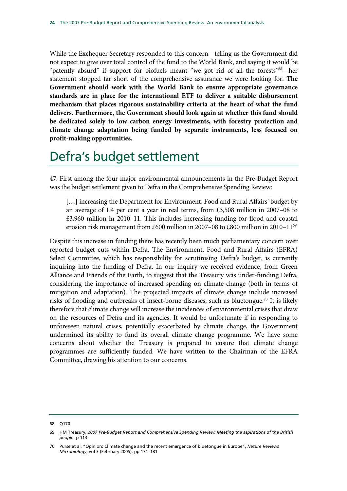While the Exchequer Secretary responded to this concern—telling us the Government did not expect to give over total control of the fund to the World Bank, and saying it would be "patently absurd" if support for biofuels meant "we got rid of all the forests"<sup>68</sup>—her statement stopped far short of the comprehensive assurance we were looking for. **The Government should work with the World Bank to ensure appropriate governance standards are in place for the international ETF to deliver a suitable disbursement mechanism that places rigorous sustainability criteria at the heart of what the fund delivers. Furthermore, the Government should look again at whether this fund should be dedicated solely to low carbon energy investments, with forestry protection and climate change adaptation being funded by separate instruments, less focused on profit-making opportunities.**

## Defra's budget settlement

47. First among the four major environmental announcements in the Pre-Budget Report was the budget settlement given to Defra in the Comprehensive Spending Review:

[...] increasing the Department for Environment, Food and Rural Affairs' budget by an average of 1.4 per cent a year in real terms, from £3,508 million in 2007–08 to £3,960 million in 2010–11. This includes increasing funding for flood and coastal erosion risk management from £600 million in 2007–08 to £800 million in 2010–1169

Despite this increase in funding there has recently been much parliamentary concern over reported budget cuts within Defra. The Environment, Food and Rural Affairs (EFRA) Select Committee, which has responsibility for scrutinising Defra's budget, is currently inquiring into the funding of Defra. In our inquiry we received evidence, from Green Alliance and Friends of the Earth, to suggest that the Treasury was under-funding Defra, considering the importance of increased spending on climate change (both in terms of mitigation and adaptation). The projected impacts of climate change include increased risks of flooding and outbreaks of insect-borne diseases, such as bluetongue.<sup>70</sup> It is likely therefore that climate change will increase the incidences of environmental crises that draw on the resources of Defra and its agencies. It would be unfortunate if in responding to unforeseen natural crises, potentially exacerbated by climate change, the Government undermined its ability to fund its overall climate change programme. We have some concerns about whether the Treasury is prepared to ensure that climate change programmes are sufficiently funded. We have written to the Chairman of the EFRA Committee, drawing his attention to our concerns.

<sup>68</sup> Q170

<sup>69</sup> HM Treasury, *2007 Pre-Budget Report and Comprehensive Spending Review: Meeting the aspirations of the British people*, p 113

<sup>70</sup> Purse et al, "Opinion: Climate change and the recent emergence of bluetongue in Europe", *Nature Reviews Microbiology*, vol 3 (February 2005), pp 171–181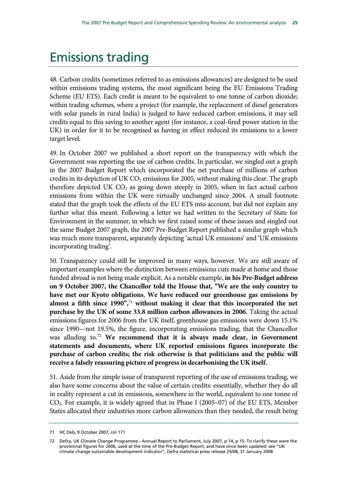## Emissions trading

48. Carbon credits (sometimes referred to as emissions allowances) are designed to be used within emissions trading systems, the most significant being the EU Emissions Trading Scheme (EU ETS). Each credit is meant to be equivalent to one tonne of carbon dioxide; within trading schemes, where a project (for example, the replacement of diesel generators with solar panels in rural India) is judged to have reduced carbon emissions, it may sell credits equal to this saving to another agent (for instance, a coal-fired power station in the UK) in order for it to be recognised as having in effect reduced its emissions to a lower target level.

49. In October 2007 we published a short report on the transparency with which the Government was reporting the use of carbon credits. In particular, we singled out a graph in the 2007 Budget Report which incorporated the net purchase of millions of carbon credits in its depiction of UK  $CO<sub>2</sub>$  emissions for 2005, without making this clear. The graph therefore depicted UK  $CO<sub>2</sub>$  as going down steeply in 2005, when in fact actual carbon emissions from within the UK were virtually unchanged since 2004. A small footnote stated that the graph took the effects of the EU ETS into account, but did not explain any further what this meant. Following a letter we had written to the Secretary of State for Environment in the summer, in which we first raised some of these issues and singled out the same Budget 2007 graph, the 2007 Pre-Budget Report published a similar graph which was much more transparent, separately depicting 'actual UK emissions' and 'UK emissions incorporating trading'.

50. Transparency could still be improved in many ways, however. We are still aware of important examples where the distinction between emissions cuts made at home and those funded abroad is not being made explicit. As a notable example, **in his Pre-Budget address on 9 October 2007, the Chancellor told the House that, "We are the only country to have met our Kyoto obligations. We have reduced our greenhouse gas emissions by almost a fifth since 1990",**<sup>71</sup> **without making it clear that this incorporated the net purchase by the UK of some 33.8 million carbon allowances in 2006.** Taking the actual emissions figures for 2006 from the UK itself, greenhouse gas emissions were down 15.1% since 1990—not 19.5%, the figure, incorporating emissions trading, that the Chancellor was alluding to.72 **We recommend that it is always made clear, in Government statements and documents, where UK reported emissions figures incorporate the purchase of carbon credits; the risk otherwise is that politicians and the public will receive a falsely reassuring picture of progress in decarbonising the UK itself.** 

51. Aside from the simple issue of transparent reporting of the use of emissions trading, we also have some concerns about the value of certain credits: essentially, whether they do all in reality represent a cut in emissions, somewhere in the world, equivalent to one tonne of CO2. For example, it is widely agreed that in Phase I (2005–07) of the EU ETS, Member States allocated their industries more carbon allowances than they needed, the result being

<sup>71</sup> HC Deb, 9 October 2007, col 171

<sup>72</sup> Defra, UK Climate Change Programme - Annual Report to Parliament, July 2007, p 14, p 15. To clarify these were the provisional figures for 2006, used at the time of the Pre-Budget Report, and have since been updated: see "UK climate change sustainable development indicator", Defra statistical press release 25/08, 31 January 2008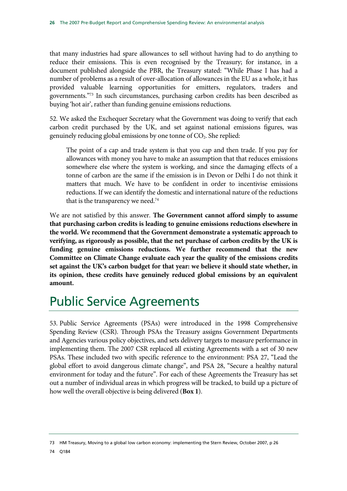that many industries had spare allowances to sell without having had to do anything to reduce their emissions. This is even recognised by the Treasury; for instance, in a document published alongside the PBR, the Treasury stated: "While Phase I has had a number of problems as a result of over-allocation of allowances in the EU as a whole, it has provided valuable learning opportunities for emitters, regulators, traders and governments."73 In such circumstances, purchasing carbon credits has been described as buying 'hot air', rather than funding genuine emissions reductions.

52. We asked the Exchequer Secretary what the Government was doing to verify that each carbon credit purchased by the UK, and set against national emissions figures, was genuinely reducing global emissions by one tonne of CO<sub>2</sub>. She replied:

The point of a cap and trade system is that you cap and then trade. If you pay for allowances with money you have to make an assumption that that reduces emissions somewhere else where the system is working, and since the damaging effects of a tonne of carbon are the same if the emission is in Devon or Delhi I do not think it matters that much. We have to be confident in order to incentivise emissions reductions. If we can identify the domestic and international nature of the reductions that is the transparency we need.<sup>74</sup>

We are not satisfied by this answer. **The Government cannot afford simply to assume that purchasing carbon credits is leading to genuine emissions reductions elsewhere in the world. We recommend that the Government demonstrate a systematic approach to verifying, as rigorously as possible, that the net purchase of carbon credits by the UK is funding genuine emissions reductions. We further recommend that the new Committee on Climate Change evaluate each year the quality of the emissions credits set against the UK's carbon budget for that year: we believe it should state whether, in its opinion, these credits have genuinely reduced global emissions by an equivalent amount.**

## Public Service Agreements

53. Public Service Agreements (PSAs) were introduced in the 1998 Comprehensive Spending Review (CSR). Through PSAs the Treasury assigns Government Departments and Agencies various policy objectives, and sets delivery targets to measure performance in implementing them. The 2007 CSR replaced all existing Agreements with a set of 30 new PSAs. These included two with specific reference to the environment: PSA 27, "Lead the global effort to avoid dangerous climate change", and PSA 28, "Secure a healthy natural environment for today and the future". For each of these Agreements the Treasury has set out a number of individual areas in which progress will be tracked, to build up a picture of how well the overall objective is being delivered (**Box 1**).

<sup>73</sup> HM Treasury, Moving to a global low carbon economy: implementing the Stern Review, October 2007, p 26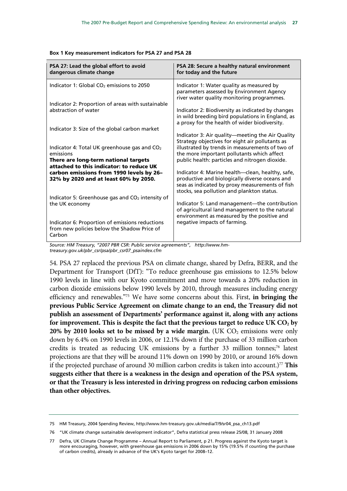| PSA 27: Lead the global effort to avoid<br>dangerous climate change                                      | PSA 28: Secure a healthy natural environment<br>for today and the future                                                                                                                            |
|----------------------------------------------------------------------------------------------------------|-----------------------------------------------------------------------------------------------------------------------------------------------------------------------------------------------------|
| Indicator 1: Global $CO2$ emissions to 2050                                                              | Indicator 1: Water quality as measured by<br>parameters assessed by Environment Agency<br>river water quality monitoring programmes.                                                                |
| Indicator 2: Proportion of areas with sustainable<br>abstraction of water                                |                                                                                                                                                                                                     |
|                                                                                                          | Indicator 2: Biodiversity as indicated by changes<br>in wild breeding bird populations in England, as<br>a proxy for the health of wider biodiversity.                                              |
| Indicator 3: Size of the global carbon market                                                            |                                                                                                                                                                                                     |
|                                                                                                          | Indicator 3: Air quality—meeting the Air Quality<br>Strategy objectives for eight air pollutants as                                                                                                 |
| Indicator 4: Total UK greenhouse gas and $CO2$<br>emissions                                              | illustrated by trends in measurements of two of<br>the more important pollutants which affect                                                                                                       |
| There are long-term national targets<br>attached to this indicator: to reduce UK                         | public health: particles and nitrogen dioxide.                                                                                                                                                      |
| carbon emissions from 1990 levels by 26-<br>32% by 2020 and at least 60% by 2050.                        | Indicator 4: Marine health—clean, healthy, safe,<br>productive and biologically diverse oceans and<br>seas as indicated by proxy measurements of fish<br>stocks, sea pollution and plankton status. |
| Indicator 5: Greenhouse gas and $CO2$ intensity of<br>the UK economy                                     | Indicator 5: Land management-the contribution<br>of agricultural land management to the natural<br>environment as measured by the positive and                                                      |
| Indicator 6: Proportion of emissions reductions<br>from new policies below the Shadow Price of<br>Carbon | negative impacts of farming.                                                                                                                                                                        |
| Source: HM Treasury, "2007 PBR CSR: Public service agreements", http://www.hm-                           |                                                                                                                                                                                                     |

**Box 1 Key measurement indicators for PSA 27 and PSA 28** 

*Source: HM Treasury, "2007 PBR CSR: Public service agreements", http://www.hmtreasury.gov.uk/pbr\_csr/psa/pbr\_csr07\_psaindex.cfm* 

54. PSA 27 replaced the previous PSA on climate change, shared by Defra, BERR, and the Department for Transport (DfT): "To reduce greenhouse gas emissions to 12.5% below 1990 levels in line with our Kyoto commitment and move towards a 20% reduction in carbon dioxide emissions below 1990 levels by 2010, through measures including energy efficiency and renewables."75 We have some concerns about this. First, **in bringing the previous Public Service Agreement on climate change to an end, the Treasury did not publish an assessment of Departments' performance against it, along with any actions**  for improvement. This is despite the fact that the previous target to reduce UK CO<sub>2</sub> by **20% by 2010 looks set to be missed by a wide margin.** (UK  $CO<sub>2</sub>$  emissions were only down by 6.4% on 1990 levels in 2006, or 12.1% down if the purchase of 33 million carbon credits is treated as reducing UK emissions by a further  $33$  million tonnes;<sup>76</sup> latest projections are that they will be around 11% down on 1990 by 2010, or around 16% down if the projected purchase of around 30 million carbon credits is taken into account.)<sup>77</sup> This **suggests either that there is a weakness in the design and operation of the PSA system, or that the Treasury is less interested in driving progress on reducing carbon emissions than other objectives.**

<sup>75</sup> HM Treasury, 2004 Spending Review, http://www.hm-treasury.gov.uk/media/7/9/sr04\_psa\_ch13.pdf

<sup>76 &</sup>quot;UK climate change sustainable development indicator", Defra statistical press release 25/08, 31 January 2008

<sup>77</sup> Defra, UK Climate Change Programme – Annual Report to Parliament, p 21. Progress against the Kyoto target is more encouraging, however, with greenhouse gas emissions in 2006 down by 15% (19.5% if counting the purchase of carbon credits), already in advance of the UK's Kyoto target for 2008–12.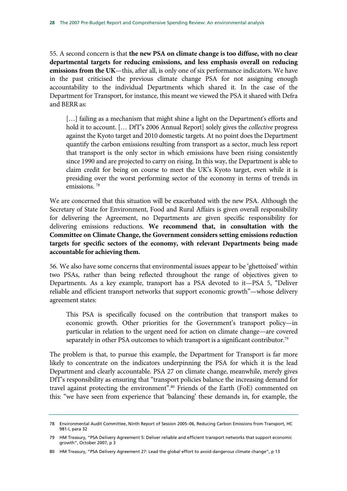55. A second concern is that **the new PSA on climate change is too diffuse, with no clear departmental targets for reducing emissions, and less emphasis overall on reducing emissions from the UK**—this, after all, is only one of six performance indicators. We have in the past criticised the previous climate change PSA for not assigning enough accountability to the individual Departments which shared it. In the case of the Department for Transport, for instance, this meant we viewed the PSA it shared with Defra and BERR as:

[...] failing as a mechanism that might shine a light on the Department's efforts and hold it to account. [… DfT's 2006 Annual Report] solely gives the *collective* progress against the Kyoto target and 2010 domestic targets. At no point does the Department quantify the carbon emissions resulting from transport as a sector, much less report that transport is the only sector in which emissions have been rising consistently since 1990 and are projected to carry on rising. In this way, the Department is able to claim credit for being on course to meet the UK's Kyoto target, even while it is presiding over the worst performing sector of the economy in terms of trends in emissions. 78

We are concerned that this situation will be exacerbated with the new PSA. Although the Secretary of State for Environment, Food and Rural Affairs is given overall responsibility for delivering the Agreement, no Departments are given specific responsibility for delivering emissions reductions. **We recommend that, in consultation with the Committee on Climate Change, the Government considers setting emissions reduction targets for specific sectors of the economy, with relevant Departments being made accountable for achieving them.**

56. We also have some concerns that environmental issues appear to be 'ghettoised' within two PSAs, rather than being reflected throughout the range of objectives given to Departments. As a key example, transport has a PSA devoted to it—PSA 5, "Deliver reliable and efficient transport networks that support economic growth"—whose delivery agreement states:

This PSA is specifically focused on the contribution that transport makes to economic growth. Other priorities for the Government's transport policy—in particular in relation to the urgent need for action on climate change—are covered separately in other PSA outcomes to which transport is a significant contributor.<sup>79</sup>

The problem is that, to pursue this example, the Department for Transport is far more likely to concentrate on the indicators underpinning the PSA for which it is the lead Department and clearly accountable. PSA 27 on climate change, meanwhile, merely gives DfT's responsibility as ensuring that "transport policies balance the increasing demand for travel against protecting the environment".<sup>80</sup> Friends of the Earth (FoE) commented on this: "we have seen from experience that 'balancing' these demands in, for example, the

<sup>78</sup> Environmental Audit Committee, Ninth Report of Session 2005–06, Reducing Carbon Emissions from Transport, HC 981-I, para 32

<sup>79</sup> HM Treasury, "PSA Delivery Agreement 5: Deliver reliable and efficient transport networks that support economic growth", October 2007, p 3

<sup>80</sup> HM Treasury, "PSA Delivery Agreement 27: Lead the global effort to avoid dangerous climate change", p 13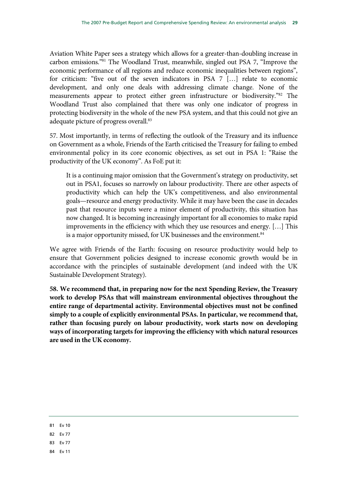Aviation White Paper sees a strategy which allows for a greater-than-doubling increase in carbon emissions."81 The Woodland Trust, meanwhile, singled out PSA 7, "Improve the economic performance of all regions and reduce economic inequalities between regions", for criticism: "five out of the seven indicators in PSA 7 […] relate to economic development, and only one deals with addressing climate change. None of the measurements appear to protect either green infrastructure or biodiversity."82 The Woodland Trust also complained that there was only one indicator of progress in protecting biodiversity in the whole of the new PSA system, and that this could not give an adequate picture of progress overall.<sup>83</sup>

57. Most importantly, in terms of reflecting the outlook of the Treasury and its influence on Government as a whole, Friends of the Earth criticised the Treasury for failing to embed environmental policy in its core economic objectives, as set out in PSA 1: "Raise the productivity of the UK economy". As FoE put it:

It is a continuing major omission that the Government's strategy on productivity, set out in PSA1, focuses so narrowly on labour productivity. There are other aspects of productivity which can help the UK's competitiveness, and also environmental goals—resource and energy productivity. While it may have been the case in decades past that resource inputs were a minor element of productivity, this situation has now changed. It is becoming increasingly important for all economies to make rapid improvements in the efficiency with which they use resources and energy. […] This is a major opportunity missed, for UK businesses and the environment.<sup>84</sup>

We agree with Friends of the Earth: focusing on resource productivity would help to ensure that Government policies designed to increase economic growth would be in accordance with the principles of sustainable development (and indeed with the UK Sustainable Development Strategy).

**58. We recommend that, in preparing now for the next Spending Review, the Treasury work to develop PSAs that will mainstream environmental objectives throughout the entire range of departmental activity. Environmental objectives must not be confined simply to a couple of explicitly environmental PSAs. In particular, we recommend that, rather than focusing purely on labour productivity, work starts now on developing ways of incorporating targets for improving the efficiency with which natural resources are used in the UK economy.** 

- 81 Ev 10
- 82 Ev 77
- 83 Ev 77
- 84 Ev 11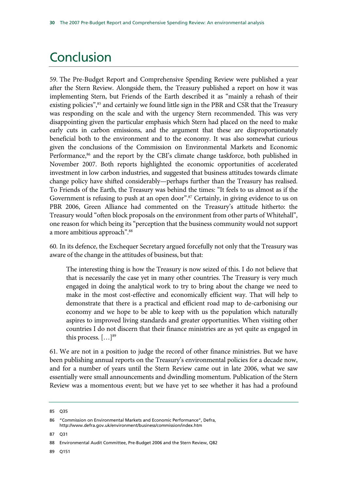## **Conclusion**

59. The Pre-Budget Report and Comprehensive Spending Review were published a year after the Stern Review. Alongside them, the Treasury published a report on how it was implementing Stern, but Friends of the Earth described it as "mainly a rehash of their existing policies",<sup>85</sup> and certainly we found little sign in the PBR and CSR that the Treasury was responding on the scale and with the urgency Stern recommended. This was very disappointing given the particular emphasis which Stern had placed on the need to make early cuts in carbon emissions, and the argument that these are disproportionately beneficial both to the environment and to the economy. It was also somewhat curious given the conclusions of the Commission on Environmental Markets and Economic Performance,<sup>86</sup> and the report by the CBI's climate change taskforce, both published in November 2007. Both reports highlighted the economic opportunities of accelerated investment in low carbon industries, and suggested that business attitudes towards climate change policy have shifted considerably—perhaps further than the Treasury has realised. To Friends of the Earth, the Treasury was behind the times: "It feels to us almost as if the Government is refusing to push at an open door".<sup>87</sup> Certainly, in giving evidence to us on PBR 2006, Green Alliance had commented on the Treasury's attitude hitherto: the Treasury would "often block proposals on the environment from other parts of Whitehall", one reason for which being its "perception that the business community would not support a more ambitious approach".88

60. In its defence, the Exchequer Secretary argued forcefully not only that the Treasury was aware of the change in the attitudes of business, but that:

The interesting thing is how the Treasury is now seized of this. I do not believe that that is necessarily the case yet in many other countries. The Treasury is very much engaged in doing the analytical work to try to bring about the change we need to make in the most cost-effective and economically efficient way. That will help to demonstrate that there is a practical and efficient road map to de-carbonising our economy and we hope to be able to keep with us the population which naturally aspires to improved living standards and greater opportunities. When visiting other countries I do not discern that their finance ministries are as yet quite as engaged in this process.  $[\dots]^{89}$ 

61. We are not in a position to judge the record of other finance ministries. But we have been publishing annual reports on the Treasury's environmental policies for a decade now, and for a number of years until the Stern Review came out in late 2006, what we saw essentially were small announcements and dwindling momentum. Publication of the Stern Review was a momentous event; but we have yet to see whether it has had a profound

87 Q31

89 Q151

<sup>85</sup> Q35

<sup>86 &</sup>quot;Commission on Environmental Markets and Economic Performance", Defra, http://www.defra.gov.uk/environment/business/commission/index.htm

<sup>88</sup> Environmental Audit Committee, Pre-Budget 2006 and the Stern Review, Q82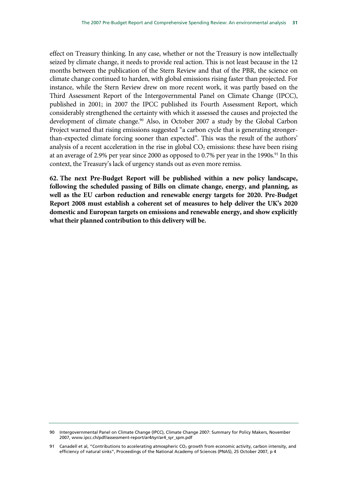effect on Treasury thinking. In any case, whether or not the Treasury is now intellectually seized by climate change, it needs to provide real action. This is not least because in the 12 months between the publication of the Stern Review and that of the PBR, the science on climate change continued to harden, with global emissions rising faster than projected. For instance, while the Stern Review drew on more recent work, it was partly based on the Third Assessment Report of the Intergovernmental Panel on Climate Change (IPCC), published in 2001; in 2007 the IPCC published its Fourth Assessment Report, which considerably strengthened the certainty with which it assessed the causes and projected the development of climate change.<sup>90</sup> Also, in October 2007 a study by the Global Carbon Project warned that rising emissions suggested "a carbon cycle that is generating strongerthan-expected climate forcing sooner than expected". This was the result of the authors' analysis of a recent acceleration in the rise in global  $CO<sub>2</sub>$  emissions: these have been rising at an average of 2.9% per year since 2000 as opposed to 0.7% per year in the 1990s.<sup>91</sup> In this context, the Treasury's lack of urgency stands out as even more remiss.

**62. The next Pre-Budget Report will be published within a new policy landscape, following the scheduled passing of Bills on climate change, energy, and planning, as well as the EU carbon reduction and renewable energy targets for 2020. Pre-Budget Report 2008 must establish a coherent set of measures to help deliver the UK's 2020 domestic and European targets on emissions and renewable energy, and show explicitly what their planned contribution to this delivery will be.** 

<sup>90</sup> Intergovernmental Panel on Climate Change (IPCC), Climate Change 2007: Summary for Policy Makers, November 2007, www.ipcc.ch/pdf/assessment-report/ar4/syr/ar4\_syr\_spm.pdf

<sup>91</sup> Canadell et al, "Contributions to accelerating atmospheric CO<sub>2</sub> growth from economic activity, carbon intensity, and efficiency of natural sinks", Proceedings of the National Academy of Sciences (PNAS), 25 October 2007, p 4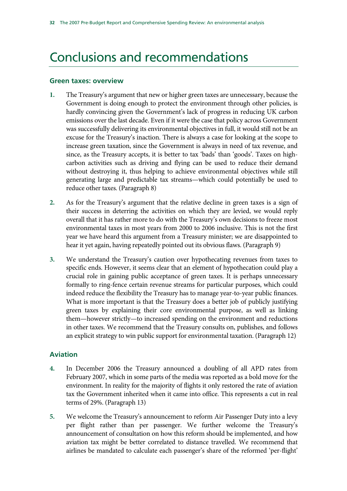## Conclusions and recommendations

#### **Green taxes: overview**

- **1.** The Treasury's argument that new or higher green taxes are unnecessary, because the Government is doing enough to protect the environment through other policies, is hardly convincing given the Government's lack of progress in reducing UK carbon emissions over the last decade. Even if it were the case that policy across Government was successfully delivering its environmental objectives in full, it would still not be an excuse for the Treasury's inaction. There is always a case for looking at the scope to increase green taxation, since the Government is always in need of tax revenue, and since, as the Treasury accepts, it is better to tax 'bads' than 'goods'. Taxes on highcarbon activities such as driving and flying can be used to reduce their demand without destroying it, thus helping to achieve environmental objectives while still generating large and predictable tax streams—which could potentially be used to reduce other taxes. (Paragraph 8)
- **2.** As for the Treasury's argument that the relative decline in green taxes is a sign of their success in deterring the activities on which they are levied, we would reply overall that it has rather more to do with the Treasury's own decisions to freeze most environmental taxes in most years from 2000 to 2006 inclusive. This is not the first year we have heard this argument from a Treasury minister; we are disappointed to hear it yet again, having repeatedly pointed out its obvious flaws. (Paragraph 9)
- **3.** We understand the Treasury's caution over hypothecating revenues from taxes to specific ends. However, it seems clear that an element of hypothecation could play a crucial role in gaining public acceptance of green taxes. It is perhaps unnecessary formally to ring-fence certain revenue streams for particular purposes, which could indeed reduce the flexibility the Treasury has to manage year-to-year public finances. What is more important is that the Treasury does a better job of publicly justifying green taxes by explaining their core environmental purpose, as well as linking them—however strictly—to increased spending on the environment and reductions in other taxes. We recommend that the Treasury consults on, publishes, and follows an explicit strategy to win public support for environmental taxation. (Paragraph 12)

### **Aviation**

- **4.** In December 2006 the Treasury announced a doubling of all APD rates from February 2007, which in some parts of the media was reported as a bold move for the environment. In reality for the majority of flights it only restored the rate of aviation tax the Government inherited when it came into office. This represents a cut in real terms of 29%. (Paragraph 13)
- **5.** We welcome the Treasury's announcement to reform Air Passenger Duty into a levy per flight rather than per passenger. We further welcome the Treasury's announcement of consultation on how this reform should be implemented, and how aviation tax might be better correlated to distance travelled. We recommend that airlines be mandated to calculate each passenger's share of the reformed 'per-flight'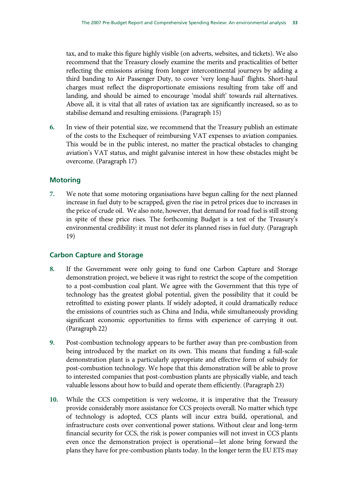tax, and to make this figure highly visible (on adverts, websites, and tickets). We also recommend that the Treasury closely examine the merits and practicalities of better reflecting the emissions arising from longer intercontinental journeys by adding a third banding to Air Passenger Duty, to cover 'very long-haul' flights. Short-haul charges must reflect the disproportionate emissions resulting from take off and landing, and should be aimed to encourage 'modal shift' towards rail alternatives. Above all, it is vital that all rates of aviation tax are significantly increased, so as to stabilise demand and resulting emissions. (Paragraph 15)

**6.** In view of their potential size, we recommend that the Treasury publish an estimate of the costs to the Exchequer of reimbursing VAT expenses to aviation companies. This would be in the public interest, no matter the practical obstacles to changing aviation's VAT status, and might galvanise interest in how these obstacles might be overcome. (Paragraph 17)

### **Motoring**

**7.** We note that some motoring organisations have begun calling for the next planned increase in fuel duty to be scrapped, given the rise in petrol prices due to increases in the price of crude oil. We also note, however, that demand for road fuel is still strong in spite of these price rises. The forthcoming Budget is a test of the Treasury's environmental credibility: it must not defer its planned rises in fuel duty. (Paragraph 19)

### **Carbon Capture and Storage**

- **8.** If the Government were only going to fund one Carbon Capture and Storage demonstration project, we believe it was right to restrict the scope of the competition to a post-combustion coal plant. We agree with the Government that this type of technology has the greatest global potential, given the possibility that it could be retrofitted to existing power plants. If widely adopted, it could dramatically reduce the emissions of countries such as China and India, while simultaneously providing significant economic opportunities to firms with experience of carrying it out. (Paragraph 22)
- **9.** Post-combustion technology appears to be further away than pre-combustion from being introduced by the market on its own. This means that funding a full-scale demonstration plant is a particularly appropriate and effective form of subsidy for post-combustion technology. We hope that this demonstration will be able to prove to interested companies that post-combustion plants are physically viable, and teach valuable lessons about how to build and operate them efficiently. (Paragraph 23)
- **10.** While the CCS competition is very welcome, it is imperative that the Treasury provide considerably more assistance for CCS projects overall. No matter which type of technology is adopted, CCS plants will incur extra build, operational, and infrastructure costs over conventional power stations. Without clear and long-term financial security for CCS, the risk is power companies will not invest in CCS plants even once the demonstration project is operational—let alone bring forward the plans they have for pre-combustion plants today. In the longer term the EU ETS may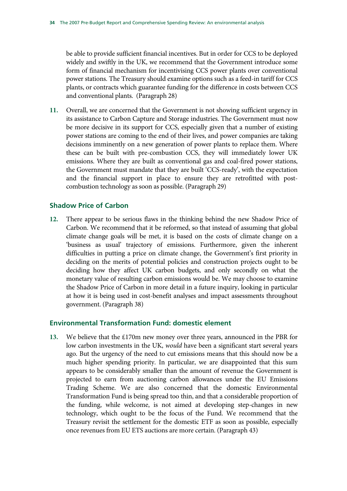be able to provide sufficient financial incentives. But in order for CCS to be deployed widely and swiftly in the UK, we recommend that the Government introduce some form of financial mechanism for incentivising CCS power plants over conventional power stations. The Treasury should examine options such as a feed-in tariff for CCS plants, or contracts which guarantee funding for the difference in costs between CCS and conventional plants. (Paragraph 28)

**11.** Overall, we are concerned that the Government is not showing sufficient urgency in its assistance to Carbon Capture and Storage industries. The Government must now be more decisive in its support for CCS, especially given that a number of existing power stations are coming to the end of their lives, and power companies are taking decisions imminently on a new generation of power plants to replace them. Where these can be built with pre-combustion CCS, they will immediately lower UK emissions. Where they are built as conventional gas and coal-fired power stations, the Government must mandate that they are built 'CCS-ready', with the expectation and the financial support in place to ensure they are retrofitted with postcombustion technology as soon as possible. (Paragraph 29)

### **Shadow Price of Carbon**

**12.** There appear to be serious flaws in the thinking behind the new Shadow Price of Carbon. We recommend that it be reformed, so that instead of assuming that global climate change goals will be met, it is based on the costs of climate change on a 'business as usual' trajectory of emissions. Furthermore, given the inherent difficulties in putting a price on climate change, the Government's first priority in deciding on the merits of potential policies and construction projects ought to be deciding how they affect UK carbon budgets, and only secondly on what the monetary value of resulting carbon emissions would be. We may choose to examine the Shadow Price of Carbon in more detail in a future inquiry, looking in particular at how it is being used in cost-benefit analyses and impact assessments throughout government. (Paragraph 38)

### **Environmental Transformation Fund: domestic element**

**13.** We believe that the £170m new money over three years, announced in the PBR for low carbon investments in the UK, *would* have been a significant start several years ago. But the urgency of the need to cut emissions means that this should now be a much higher spending priority. In particular, we are disappointed that this sum appears to be considerably smaller than the amount of revenue the Government is projected to earn from auctioning carbon allowances under the EU Emissions Trading Scheme. We are also concerned that the domestic Environmental Transformation Fund is being spread too thin, and that a considerable proportion of the funding, while welcome, is not aimed at developing step-changes in new technology, which ought to be the focus of the Fund. We recommend that the Treasury revisit the settlement for the domestic ETF as soon as possible, especially once revenues from EU ETS auctions are more certain. (Paragraph 43)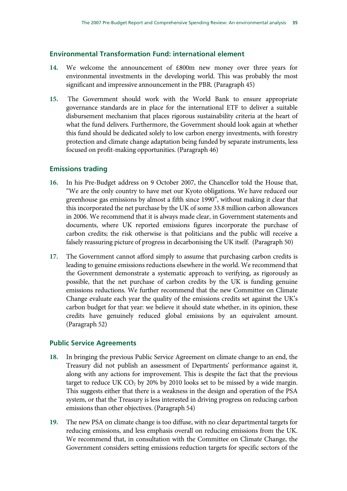### **Environmental Transformation Fund: international element**

- **14.** We welcome the announcement of £800m new money over three years for environmental investments in the developing world. This was probably the most significant and impressive announcement in the PBR. (Paragraph 45)
- **15.** The Government should work with the World Bank to ensure appropriate governance standards are in place for the international ETF to deliver a suitable disbursement mechanism that places rigorous sustainability criteria at the heart of what the fund delivers. Furthermore, the Government should look again at whether this fund should be dedicated solely to low carbon energy investments, with forestry protection and climate change adaptation being funded by separate instruments, less focused on profit-making opportunities. (Paragraph 46)

### **Emissions trading**

- **16.** In his Pre-Budget address on 9 October 2007, the Chancellor told the House that, "We are the only country to have met our Kyoto obligations. We have reduced our greenhouse gas emissions by almost a fifth since 1990", without making it clear that this incorporated the net purchase by the UK of some 33.8 million carbon allowances in 2006. We recommend that it is always made clear, in Government statements and documents, where UK reported emissions figures incorporate the purchase of carbon credits; the risk otherwise is that politicians and the public will receive a falsely reassuring picture of progress in decarbonising the UK itself. (Paragraph 50)
- **17.** The Government cannot afford simply to assume that purchasing carbon credits is leading to genuine emissions reductions elsewhere in the world. We recommend that the Government demonstrate a systematic approach to verifying, as rigorously as possible, that the net purchase of carbon credits by the UK is funding genuine emissions reductions. We further recommend that the new Committee on Climate Change evaluate each year the quality of the emissions credits set against the UK's carbon budget for that year: we believe it should state whether, in its opinion, these credits have genuinely reduced global emissions by an equivalent amount. (Paragraph 52)

#### **Public Service Agreements**

- **18.** In bringing the previous Public Service Agreement on climate change to an end, the Treasury did not publish an assessment of Departments' performance against it, along with any actions for improvement. This is despite the fact that the previous target to reduce UK  $CO<sub>2</sub>$  by 20% by 2010 looks set to be missed by a wide margin. This suggests either that there is a weakness in the design and operation of the PSA system, or that the Treasury is less interested in driving progress on reducing carbon emissions than other objectives. (Paragraph 54)
- **19.** The new PSA on climate change is too diffuse, with no clear departmental targets for reducing emissions, and less emphasis overall on reducing emissions from the UK. We recommend that, in consultation with the Committee on Climate Change, the Government considers setting emissions reduction targets for specific sectors of the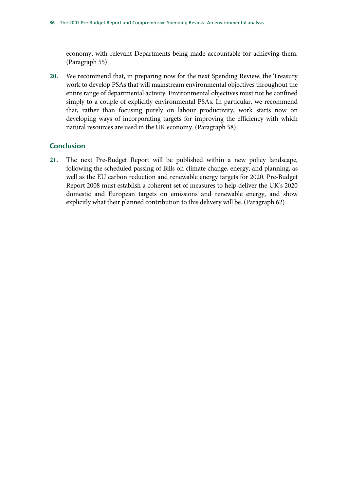economy, with relevant Departments being made accountable for achieving them. (Paragraph 55)

**20.** We recommend that, in preparing now for the next Spending Review, the Treasury work to develop PSAs that will mainstream environmental objectives throughout the entire range of departmental activity. Environmental objectives must not be confined simply to a couple of explicitly environmental PSAs. In particular, we recommend that, rather than focusing purely on labour productivity, work starts now on developing ways of incorporating targets for improving the efficiency with which natural resources are used in the UK economy. (Paragraph 58)

### **Conclusion**

**21.** The next Pre-Budget Report will be published within a new policy landscape, following the scheduled passing of Bills on climate change, energy, and planning, as well as the EU carbon reduction and renewable energy targets for 2020. Pre-Budget Report 2008 must establish a coherent set of measures to help deliver the UK's 2020 domestic and European targets on emissions and renewable energy, and show explicitly what their planned contribution to this delivery will be. (Paragraph 62)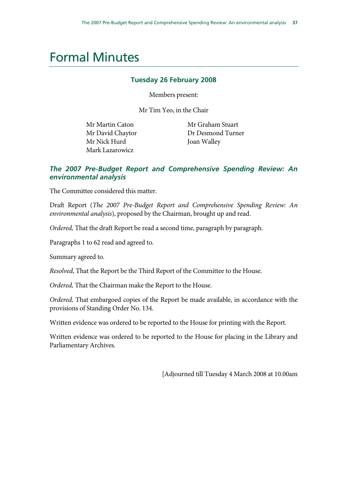## Formal Minutes

### **Tuesday 26 February 2008**

Members present:

Mr Tim Yeo, in the Chair

Mr Martin Caton Mr David Chaytor Mr Nick Hurd Mark Lazarowicz

 Mr Graham Stuart Dr Desmond Turner Joan Walley

### *The 2007 Pre-Budget Report and Comprehensive Spending Review: An environmental analysis*

The Committee considered this matter.

Draft Report (*The 2007 Pre-Budget Report and Comprehensive Spending Review: An environmental analysis*), proposed by the Chairman, brought up and read.

*Ordered,* That the draft Report be read a second time, paragraph by paragraph.

Paragraphs 1 to 62 read and agreed to.

Summary agreed to.

*Resolved*, That the Report be the Third Report of the Committee to the House.

*Ordered,* That the Chairman make the Report to the House.

*Ordered,* That embargoed copies of the Report be made available, in accordance with the provisions of Standing Order No. 134.

Written evidence was ordered to be reported to the House for printing with the Report.

Written evidence was ordered to be reported to the House for placing in the Library and Parliamentary Archives.

[Adjourned till Tuesday 4 March 2008 at 10.00am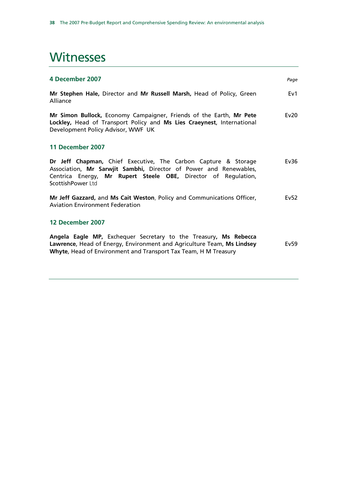## **Witnesses**

| 4 December 2007                                                                                                                                                                                                            | Page |
|----------------------------------------------------------------------------------------------------------------------------------------------------------------------------------------------------------------------------|------|
| Mr Stephen Hale, Director and Mr Russell Marsh, Head of Policy, Green<br>Alliance                                                                                                                                          | Ev1  |
| Mr Simon Bullock, Economy Campaigner, Friends of the Earth, Mr Pete<br>Lockley, Head of Transport Policy and Ms Lies Craeynest, International<br>Development Policy Advisor, WWF UK                                        | Ev20 |
| 11 December 2007                                                                                                                                                                                                           |      |
| Dr Jeff Chapman, Chief Executive, The Carbon Capture & Storage<br>Association, Mr Sarwjit Sambhi, Director of Power and Renewables,<br>Centrica Energy, Mr Rupert Steele OBE, Director of Regulation,<br>ScottishPower Ltd | Ev36 |
| Mr Jeff Gazzard, and Ms Cait Weston, Policy and Communications Officer,<br><b>Aviation Environment Federation</b>                                                                                                          | Ev52 |
| 12 December 2007                                                                                                                                                                                                           |      |
| Angela Eagle MP, Exchequer Secretary to the Treasury, Ms Rebecca<br>Lawrence, Head of Energy, Environment and Agriculture Team, Ms Lindsey<br>Whyte, Head of Environment and Transport Tax Team, H M Treasury              | Ev59 |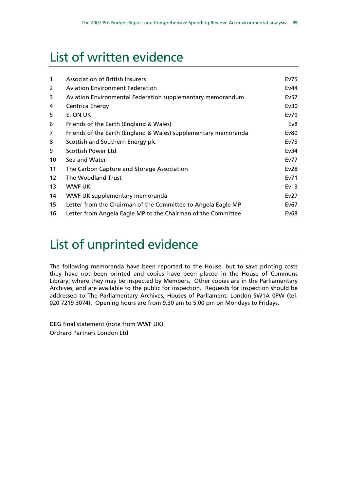## List of written evidence

| $\mathbf{1}$      | <b>Association of British Insurers</b>                         | Ev75 |
|-------------------|----------------------------------------------------------------|------|
| 2                 | <b>Aviation Environment Federation</b>                         | Ev44 |
| 3                 | Aviation Environmental Federation supplementary memorandum     | Ev57 |
| 4                 | Centrica Energy                                                | Ev30 |
| 5                 | E. ON UK                                                       | Ev79 |
| 6                 | Friends of the Earth (England & Wales)                         | Ev8  |
| 7                 | Friends of the Earth (England & Wales) supplementary memoranda | Ev80 |
| 8                 | Scottish and Southern Energy plc                               | Ev75 |
| 9                 | Scottish Power Ltd                                             | Ev34 |
| 10                | Sea and Water                                                  | Ev77 |
| 11                | The Carbon Capture and Storage Association                     | Ev28 |
| $12 \overline{ }$ | The Woodland Trust                                             | Ev71 |
| 13                | <b>WWF UK</b>                                                  | Ev13 |
| 14                | WWF UK supplementary memoranda                                 | Ev27 |
| 15                | Letter from the Chairman of the Committee to Angela Eagle MP   | Ev67 |
| 16                | Letter from Angela Eagle MP to the Chairman of the Committee   | Ev68 |

## List of unprinted evidence

The following memoranda have been reported to the House, but to save printing costs they have not been printed and copies have been placed in the House of Commons Library, where they may be inspected by Members. Other copies are in the Parliamentary Archives, and are available to the public for inspection. Requests for inspection should be addressed to The Parliamentary Archives, Houses of Parliament, London SW1A 0PW (tel. 020 7219 3074). Opening hours are from 9.30 am to 5.00 pm on Mondays to Fridays.

DEG final statement (note from WWF UK) Orchard Partners London Ltd